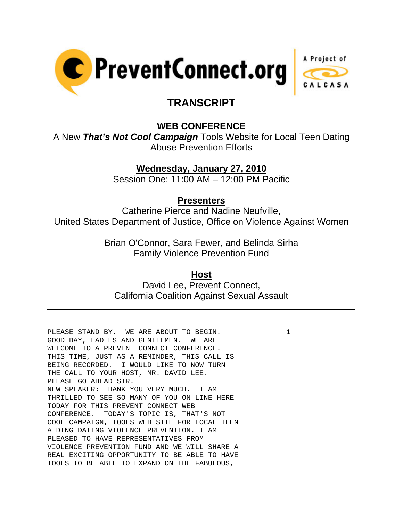



# **TRANSCRIPT**

## **WEB CONFERENCE**

A New *That's Not Cool Campaign* Tools Website for Local Teen Dating Abuse Prevention Efforts

## **Wednesday, January 27, 2010**

Session One: 11:00 AM – 12:00 PM Pacific

#### **Presenters**

Catherine Pierce and Nadine Neufville, United States Department of Justice, Office on Violence Against Women

> Brian O'Connor, Sara Fewer, and Belinda Sirha Family Violence Prevention Fund

#### **Host**

David Lee, Prevent Connect, California Coalition Against Sexual Assault

PLEASE STAND BY. WE ARE ABOUT TO BEGIN.  $1$ GOOD DAY, LADIES AND GENTLEMEN. WE ARE WELCOME TO A PREVENT CONNECT CONFERENCE. THIS TIME, JUST AS A REMINDER, THIS CALL IS BEING RECORDED. I WOULD LIKE TO NOW TURN THE CALL TO YOUR HOST, MR. DAVID LEE. PLEASE GO AHEAD SIR. NEW SPEAKER: THANK YOU VERY MUCH. I AM THRILLED TO SEE SO MANY OF YOU ON LINE HERE TODAY FOR THIS PREVENT CONNECT WEB CONFERENCE. TODAY'S TOPIC IS, THAT'S NOT COOL CAMPAIGN, TOOLS WEB SITE FOR LOCAL TEEN AIDING DATING VIOLENCE PREVENTION. I AM PLEASED TO HAVE REPRESENTATIVES FROM VIOLENCE PREVENTION FUND AND WE WILL SHARE A REAL EXCITING OPPORTUNITY TO BE ABLE TO HAVE TOOLS TO BE ABLE TO EXPAND ON THE FABULOUS,

 $\overline{a}$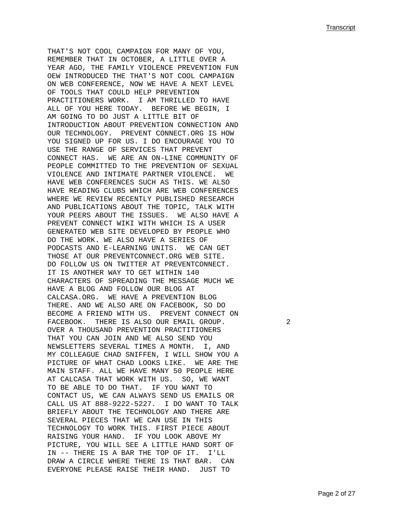THAT'S NOT COOL CAMPAIGN FOR MANY OF YOU, REMEMBER THAT IN OCTOBER, A LITTLE OVER A YEAR AGO, THE FAMILY VIOLENCE PREVENTION FUN OEW INTRODUCED THE THAT'S NOT COOL CAMPAIGN ON WEB CONFERENCE, NOW WE HAVE A NEXT LEVEL OF TOOLS THAT COULD HELP PREVENTION PRACTITIONERS WORK. I AM THRILLED TO HAVE ALL OF YOU HERE TODAY. BEFORE WE BEGIN, I AM GOING TO DO JUST A LITTLE BIT OF INTRODUCTION ABOUT PREVENTION CONNECTION AND OUR TECHNOLOGY. PREVENT CONNECT.ORG IS HOW YOU SIGNED UP FOR US. I DO ENCOURAGE YOU TO USE THE RANGE OF SERVICES THAT PREVENT CONNECT HAS. WE ARE AN ON-LINE COMMUNITY OF PEOPLE COMMITTED TO THE PREVENTION OF SEXUAL VIOLENCE AND INTIMATE PARTNER VIOLENCE. WE HAVE WEB CONFERENCES SUCH AS THIS. WE ALSO HAVE READING CLUBS WHICH ARE WEB CONFERENCES WHERE WE REVIEW RECENTLY PUBLISHED RESEARCH AND PUBLICATIONS ABOUT THE TOPIC, TALK WITH YOUR PEERS ABOUT THE ISSUES. WE ALSO HAVE A PREVENT CONNECT WIKI WITH WHICH IS A USER GENERATED WEB SITE DEVELOPED BY PEOPLE WHO DO THE WORK. WE ALSO HAVE A SERIES OF PODCASTS AND E-LEARNING UNITS. WE CAN GET THOSE AT OUR PREVENTCONNECT.ORG WEB SITE. DO FOLLOW US ON TWITTER AT PREVENTCONNECT. IT IS ANOTHER WAY TO GET WITHIN 140 CHARACTERS OF SPREADING THE MESSAGE MUCH WE HAVE A BLOG AND FOLLOW OUR BLOG AT CALCASA.ORG. WE HAVE A PREVENTION BLOG THERE. AND WE ALSO ARE ON FACEBOOK, SO DO BECOME A FRIEND WITH US. PREVENT CONNECT ON FACEBOOK. THERE IS ALSO OUR EMAIL GROUP. 2 OVER A THOUSAND PREVENTION PRACTITIONERS THAT YOU CAN JOIN AND WE ALSO SEND YOU NEWSLETTERS SEVERAL TIMES A MONTH. I, AND MY COLLEAGUE CHAD SNIFFEN, I WILL SHOW YOU A PICTURE OF WHAT CHAD LOOKS LIKE. WE ARE THE MAIN STAFF. ALL WE HAVE MANY 50 PEOPLE HERE AT CALCASA THAT WORK WITH US. SO, WE WANT TO BE ABLE TO DO THAT. IF YOU WANT TO CONTACT US, WE CAN ALWAYS SEND US EMAILS OR CALL US AT 888-9222-5227. I DO WANT TO TALK BRIEFLY ABOUT THE TECHNOLOGY AND THERE ARE SEVERAL PIECES THAT WE CAN USE IN THIS TECHNOLOGY TO WORK THIS. FIRST PIECE ABOUT RAISING YOUR HAND. IF YOU LOOK ABOVE MY PICTURE, YOU WILL SEE A LITTLE HAND SORT OF IN -- THERE IS A BAR THE TOP OF IT. I'LL DRAW A CIRCLE WHERE THERE IS THAT BAR. CAN EVERYONE PLEASE RAISE THEIR HAND. JUST TO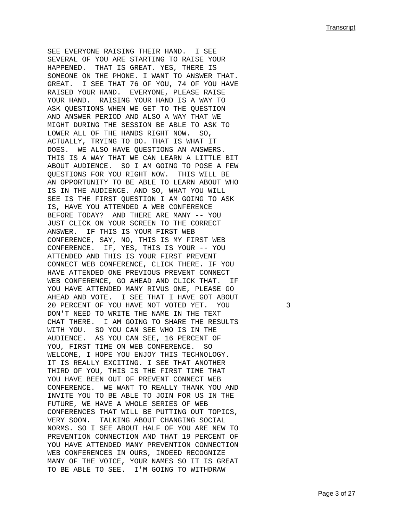SEE EVERYONE RAISING THEIR HAND. I SEE SEVERAL OF YOU ARE STARTING TO RAISE YOUR HAPPENED. THAT IS GREAT. YES, THERE IS SOMEONE ON THE PHONE. I WANT TO ANSWER THAT. GREAT. I SEE THAT 76 OF YOU, 74 OF YOU HAVE RAISED YOUR HAND. EVERYONE, PLEASE RAISE YOUR HAND. RAISING YOUR HAND IS A WAY TO ASK QUESTIONS WHEN WE GET TO THE QUESTION AND ANSWER PERIOD AND ALSO A WAY THAT WE MIGHT DURING THE SESSION BE ABLE TO ASK TO LOWER ALL OF THE HANDS RIGHT NOW. SO, ACTUALLY, TRYING TO DO. THAT IS WHAT IT DOES. WE ALSO HAVE QUESTIONS AN ANSWERS. THIS IS A WAY THAT WE CAN LEARN A LITTLE BIT ABOUT AUDIENCE. SO I AM GOING TO POSE A FEW QUESTIONS FOR YOU RIGHT NOW. THIS WILL BE AN OPPORTUNITY TO BE ABLE TO LEARN ABOUT WHO IS IN THE AUDIENCE. AND SO, WHAT YOU WILL SEE IS THE FIRST QUESTION I AM GOING TO ASK IS, HAVE YOU ATTENDED A WEB CONFERENCE BEFORE TODAY? AND THERE ARE MANY -- YOU JUST CLICK ON YOUR SCREEN TO THE CORRECT ANSWER. IF THIS IS YOUR FIRST WEB CONFERENCE, SAY, NO, THIS IS MY FIRST WEB CONFERENCE. IF, YES, THIS IS YOUR -- YOU ATTENDED AND THIS IS YOUR FIRST PREVENT CONNECT WEB CONFERENCE, CLICK THERE. IF YOU HAVE ATTENDED ONE PREVIOUS PREVENT CONNECT WEB CONFERENCE, GO AHEAD AND CLICK THAT. IF YOU HAVE ATTENDED MANY RIVUS ONE, PLEASE GO AHEAD AND VOTE. I SEE THAT I HAVE GOT ABOUT 20 PERCENT OF YOU HAVE NOT VOTED YET. YOU 3 DON'T NEED TO WRITE THE NAME IN THE TEXT CHAT THERE. I AM GOING TO SHARE THE RESULTS WITH YOU. SO YOU CAN SEE WHO IS IN THE AUDIENCE. AS YOU CAN SEE, 16 PERCENT OF YOU, FIRST TIME ON WEB CONFERENCE. SO WELCOME, I HOPE YOU ENJOY THIS TECHNOLOGY. IT IS REALLY EXCITING. I SEE THAT ANOTHER THIRD OF YOU, THIS IS THE FIRST TIME THAT YOU HAVE BEEN OUT OF PREVENT CONNECT WEB CONFERENCE. WE WANT TO REALLY THANK YOU AND INVITE YOU TO BE ABLE TO JOIN FOR US IN THE FUTURE, WE HAVE A WHOLE SERIES OF WEB CONFERENCES THAT WILL BE PUTTING OUT TOPICS, VERY SOON. TALKING ABOUT CHANGING SOCIAL NORMS. SO I SEE ABOUT HALF OF YOU ARE NEW TO PREVENTION CONNECTION AND THAT 19 PERCENT OF YOU HAVE ATTENDED MANY PREVENTION CONNECTION WEB CONFERENCES IN OURS, INDEED RECOGNIZE MANY OF THE VOICE, YOUR NAMES SO IT IS GREAT TO BE ABLE TO SEE. I'M GOING TO WITHDRAW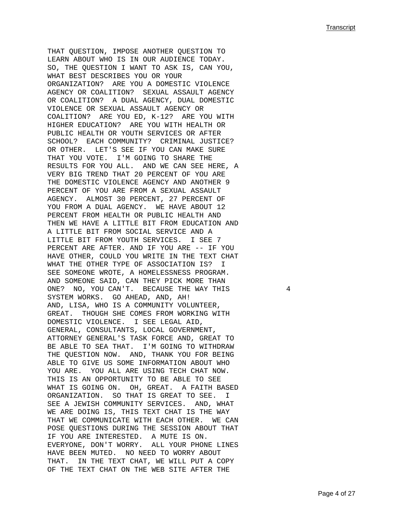THAT QUESTION, IMPOSE ANOTHER QUESTION TO LEARN ABOUT WHO IS IN OUR AUDIENCE TODAY. SO, THE QUESTION I WANT TO ASK IS, CAN YOU, WHAT BEST DESCRIBES YOU OR YOUR ORGANIZATION? ARE YOU A DOMESTIC VIOLENCE AGENCY OR COALITION? SEXUAL ASSAULT AGENCY OR COALITION? A DUAL AGENCY, DUAL DOMESTIC VIOLENCE OR SEXUAL ASSAULT AGENCY OR COALITION? ARE YOU ED, K-12? ARE YOU WITH HIGHER EDUCATION? ARE YOU WITH HEALTH OR PUBLIC HEALTH OR YOUTH SERVICES OR AFTER SCHOOL? EACH COMMUNITY? CRIMINAL JUSTICE? OR OTHER. LET'S SEE IF YOU CAN MAKE SURE THAT YOU VOTE. I'M GOING TO SHARE THE RESULTS FOR YOU ALL. AND WE CAN SEE HERE, A VERY BIG TREND THAT 20 PERCENT OF YOU ARE THE DOMESTIC VIOLENCE AGENCY AND ANOTHER 9 PERCENT OF YOU ARE FROM A SEXUAL ASSAULT AGENCY. ALMOST 30 PERCENT, 27 PERCENT OF YOU FROM A DUAL AGENCY. WE HAVE ABOUT 12 PERCENT FROM HEALTH OR PUBLIC HEALTH AND THEN WE HAVE A LITTLE BIT FROM EDUCATION AND A LITTLE BIT FROM SOCIAL SERVICE AND A LITTLE BIT FROM YOUTH SERVICES. I SEE 7 PERCENT ARE AFTER. AND IF YOU ARE -- IF YOU HAVE OTHER, COULD YOU WRITE IN THE TEXT CHAT WHAT THE OTHER TYPE OF ASSOCIATION IS? I SEE SOMEONE WROTE, A HOMELESSNESS PROGRAM. AND SOMEONE SAID, CAN THEY PICK MORE THAN ONE? NO, YOU CAN'T. BECAUSE THE WAY THIS 4 SYSTEM WORKS. GO AHEAD, AND, AH! AND, LISA, WHO IS A COMMUNITY VOLUNTEER, GREAT. THOUGH SHE COMES FROM WORKING WITH DOMESTIC VIOLENCE. I SEE LEGAL AID, GENERAL, CONSULTANTS, LOCAL GOVERNMENT, ATTORNEY GENERAL'S TASK FORCE AND, GREAT TO BE ABLE TO SEA THAT. I'M GOING TO WITHDRAW THE QUESTION NOW. AND, THANK YOU FOR BEING ABLE TO GIVE US SOME INFORMATION ABOUT WHO YOU ARE. YOU ALL ARE USING TECH CHAT NOW. THIS IS AN OPPORTUNITY TO BE ABLE TO SEE WHAT IS GOING ON. OH, GREAT. A FAITH BASED ORGANIZATION. SO THAT IS GREAT TO SEE. I SEE A JEWISH COMMUNITY SERVICES. AND, WHAT WE ARE DOING IS, THIS TEXT CHAT IS THE WAY THAT WE COMMUNICATE WITH EACH OTHER. WE CAN POSE QUESTIONS DURING THE SESSION ABOUT THAT IF YOU ARE INTERESTED. A MUTE IS ON. EVERYONE, DON'T WORRY. ALL YOUR PHONE LINES HAVE BEEN MUTED. NO NEED TO WORRY ABOUT THAT. IN THE TEXT CHAT, WE WILL PUT A COPY OF THE TEXT CHAT ON THE WEB SITE AFTER THE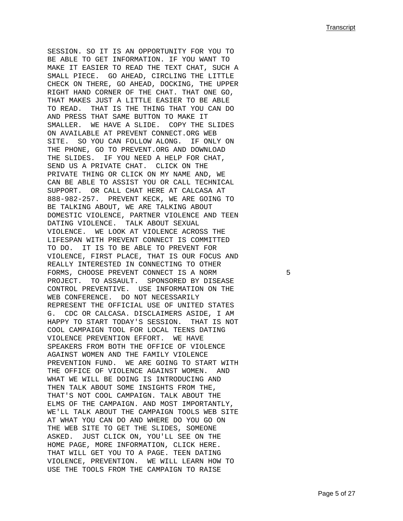SESSION. SO IT IS AN OPPORTUNITY FOR YOU TO BE ABLE TO GET INFORMATION. IF YOU WANT TO MAKE IT EASIER TO READ THE TEXT CHAT, SUCH A SMALL PIECE. GO AHEAD, CIRCLING THE LITTLE CHECK ON THERE, GO AHEAD, DOCKING, THE UPPER RIGHT HAND CORNER OF THE CHAT. THAT ONE GO, THAT MAKES JUST A LITTLE EASIER TO BE ABLE TO READ. THAT IS THE THING THAT YOU CAN DO AND PRESS THAT SAME BUTTON TO MAKE IT SMALLER. WE HAVE A SLIDE. COPY THE SLIDES ON AVAILABLE AT PREVENT CONNECT.ORG WEB SITE. SO YOU CAN FOLLOW ALONG. IF ONLY ON THE PHONE, GO TO PREVENT.ORG AND DOWNLOAD THE SLIDES. IF YOU NEED A HELP FOR CHAT, SEND US A PRIVATE CHAT. CLICK ON THE PRIVATE THING OR CLICK ON MY NAME AND, WE CAN BE ABLE TO ASSIST YOU OR CALL TECHNICAL SUPPORT. OR CALL CHAT HERE AT CALCASA AT 888-982-257. PREVENT KECK, WE ARE GOING TO BE TALKING ABOUT, WE ARE TALKING ABOUT DOMESTIC VIOLENCE, PARTNER VIOLENCE AND TEEN DATING VIOLENCE. TALK ABOUT SEXUAL VIOLENCE. WE LOOK AT VIOLENCE ACROSS THE LIFESPAN WITH PREVENT CONNECT IS COMMITTED TO DO. IT IS TO BE ABLE TO PREVENT FOR VIOLENCE, FIRST PLACE, THAT IS OUR FOCUS AND REALLY INTERESTED IN CONNECTING TO OTHER FORMS, CHOOSE PREVENT CONNECT IS A NORM 5 PROJECT. TO ASSAULT. SPONSORED BY DISEASE CONTROL PREVENTIVE. USE INFORMATION ON THE WEB CONFERENCE. DO NOT NECESSARILY REPRESENT THE OFFICIAL USE OF UNITED STATES G. CDC OR CALCASA. DISCLAIMERS ASIDE, I AM HAPPY TO START TODAY'S SESSION. THAT IS NOT COOL CAMPAIGN TOOL FOR LOCAL TEENS DATING VIOLENCE PREVENTION EFFORT. WE HAVE SPEAKERS FROM BOTH THE OFFICE OF VIOLENCE AGAINST WOMEN AND THE FAMILY VIOLENCE PREVENTION FUND. WE ARE GOING TO START WITH THE OFFICE OF VIOLENCE AGAINST WOMEN. AND WHAT WE WILL BE DOING IS INTRODUCING AND THEN TALK ABOUT SOME INSIGHTS FROM THE, THAT'S NOT COOL CAMPAIGN. TALK ABOUT THE ELMS OF THE CAMPAIGN. AND MOST IMPORTANTLY, WE'LL TALK ABOUT THE CAMPAIGN TOOLS WEB SITE AT WHAT YOU CAN DO AND WHERE DO YOU GO ON THE WEB SITE TO GET THE SLIDES, SOMEONE ASKED. JUST CLICK ON, YOU'LL SEE ON THE HOME PAGE, MORE INFORMATION, CLICK HERE. THAT WILL GET YOU TO A PAGE. TEEN DATING VIOLENCE, PREVENTION. WE WILL LEARN HOW TO USE THE TOOLS FROM THE CAMPAIGN TO RAISE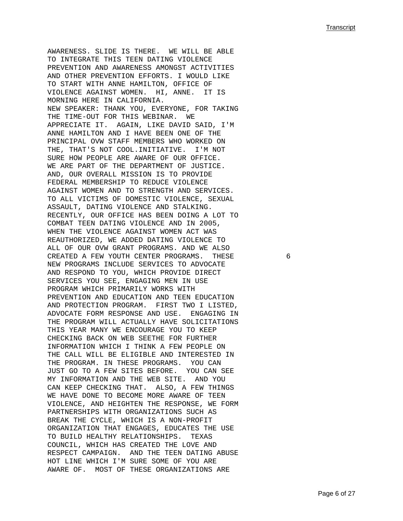AWARENESS. SLIDE IS THERE. WE WILL BE ABLE TO INTEGRATE THIS TEEN DATING VIOLENCE PREVENTION AND AWARENESS AMONGST ACTIVITIES AND OTHER PREVENTION EFFORTS. I WOULD LIKE TO START WITH ANNE HAMILTON, OFFICE OF VIOLENCE AGAINST WOMEN. HI, ANNE. IT IS MORNING HERE IN CALIFORNIA. NEW SPEAKER: THANK YOU, EVERYONE, FOR TAKING THE TIME-OUT FOR THIS WEBINAR. WE APPRECIATE IT. AGAIN, LIKE DAVID SAID, I'M ANNE HAMILTON AND I HAVE BEEN ONE OF THE PRINCIPAL OVW STAFF MEMBERS WHO WORKED ON THE, THAT'S NOT COOL.INITIATIVE. I'M NOT SURE HOW PEOPLE ARE AWARE OF OUR OFFICE. WE ARE PART OF THE DEPARTMENT OF JUSTICE. AND, OUR OVERALL MISSION IS TO PROVIDE FEDERAL MEMBERSHIP TO REDUCE VIOLENCE AGAINST WOMEN AND TO STRENGTH AND SERVICES. TO ALL VICTIMS OF DOMESTIC VIOLENCE, SEXUAL ASSAULT, DATING VIOLENCE AND STALKING. RECENTLY, OUR OFFICE HAS BEEN DOING A LOT TO COMBAT TEEN DATING VIOLENCE AND IN 2005, WHEN THE VIOLENCE AGAINST WOMEN ACT WAS REAUTHORIZED, WE ADDED DATING VIOLENCE TO ALL OF OUR OVW GRANT PROGRAMS. AND WE ALSO CREATED A FEW YOUTH CENTER PROGRAMS. THESE 6 NEW PROGRAMS INCLUDE SERVICES TO ADVOCATE AND RESPOND TO YOU, WHICH PROVIDE DIRECT SERVICES YOU SEE, ENGAGING MEN IN USE PROGRAM WHICH PRIMARILY WORKS WITH PREVENTION AND EDUCATION AND TEEN EDUCATION AND PROTECTION PROGRAM. FIRST TWO I LISTED, ADVOCATE FORM RESPONSE AND USE. ENGAGING IN THE PROGRAM WILL ACTUALLY HAVE SOLICITATIONS THIS YEAR MANY WE ENCOURAGE YOU TO KEEP CHECKING BACK ON WEB SEETHE FOR FURTHER INFORMATION WHICH I THINK A FEW PEOPLE ON THE CALL WILL BE ELIGIBLE AND INTERESTED IN THE PROGRAM. IN THESE PROGRAMS. YOU CAN JUST GO TO A FEW SITES BEFORE. YOU CAN SEE MY INFORMATION AND THE WEB SITE. AND YOU CAN KEEP CHECKING THAT. ALSO, A FEW THINGS WE HAVE DONE TO BECOME MORE AWARE OF TEEN VIOLENCE, AND HEIGHTEN THE RESPONSE, WE FORM PARTNERSHIPS WITH ORGANIZATIONS SUCH AS BREAK THE CYCLE, WHICH IS A NON-PROFIT ORGANIZATION THAT ENGAGES, EDUCATES THE USE TO BUILD HEALTHY RELATIONSHIPS. TEXAS COUNCIL, WHICH HAS CREATED THE LOVE AND RESPECT CAMPAIGN. AND THE TEEN DATING ABUSE HOT LINE WHICH I'M SURE SOME OF YOU ARE AWARE OF. MOST OF THESE ORGANIZATIONS ARE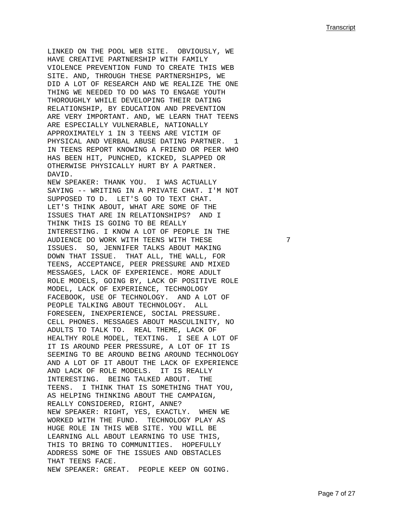LINKED ON THE POOL WEB SITE. OBVIOUSLY, WE HAVE CREATIVE PARTNERSHIP WITH FAMILY VIOLENCE PREVENTION FUND TO CREATE THIS WEB SITE. AND, THROUGH THESE PARTNERSHIPS, WE DID A LOT OF RESEARCH AND WE REALIZE THE ONE THING WE NEEDED TO DO WAS TO ENGAGE YOUTH THOROUGHLY WHILE DEVELOPING THEIR DATING RELATIONSHIP, BY EDUCATION AND PREVENTION ARE VERY IMPORTANT. AND, WE LEARN THAT TEENS ARE ESPECIALLY VULNERABLE, NATIONALLY APPROXIMATELY 1 IN 3 TEENS ARE VICTIM OF PHYSICAL AND VERBAL ABUSE DATING PARTNER. 1 IN TEENS REPORT KNOWING A FRIEND OR PEER WHO HAS BEEN HIT, PUNCHED, KICKED, SLAPPED OR OTHERWISE PHYSICALLY HURT BY A PARTNER. DAVID. NEW SPEAKER: THANK YOU. I WAS ACTUALLY SAYING -- WRITING IN A PRIVATE CHAT. I'M NOT SUPPOSED TO D. LET'S GO TO TEXT CHAT. LET'S THINK ABOUT, WHAT ARE SOME OF THE ISSUES THAT ARE IN RELATIONSHIPS? AND I THINK THIS IS GOING TO BE REALLY INTERESTING. I KNOW A LOT OF PEOPLE IN THE AUDIENCE DO WORK WITH TEENS WITH THESE 7 ISSUES. SO, JENNIFER TALKS ABOUT MAKING DOWN THAT ISSUE. THAT ALL, THE WALL, FOR TEENS, ACCEPTANCE, PEER PRESSURE AND MIXED MESSAGES, LACK OF EXPERIENCE. MORE ADULT ROLE MODELS, GOING BY, LACK OF POSITIVE ROLE MODEL, LACK OF EXPERIENCE, TECHNOLOGY

FACEBOOK, USE OF TECHNOLOGY. AND A LOT OF PEOPLE TALKING ABOUT TECHNOLOGY. ALL FORESEEN, INEXPERIENCE, SOCIAL PRESSURE. CELL PHONES. MESSAGES ABOUT MASCULINITY, NO ADULTS TO TALK TO. REAL THEME, LACK OF HEALTHY ROLE MODEL, TEXTING. I SEE A LOT OF IT IS AROUND PEER PRESSURE, A LOT OF IT IS SEEMING TO BE AROUND BEING AROUND TECHNOLOGY AND A LOT OF IT ABOUT THE LACK OF EXPERIENCE AND LACK OF ROLE MODELS. IT IS REALLY INTERESTING. BEING TALKED ABOUT. THE TEENS. I THINK THAT IS SOMETHING THAT YOU, AS HELPING THINKING ABOUT THE CAMPAIGN, REALLY CONSIDERED, RIGHT, ANNE? NEW SPEAKER: RIGHT, YES, EXACTLY. WHEN WE WORKED WITH THE FUND. TECHNOLOGY PLAY AS HUGE ROLE IN THIS WEB SITE. YOU WILL BE LEARNING ALL ABOUT LEARNING TO USE THIS, THIS TO BRING TO COMMUNITIES. HOPEFULLY ADDRESS SOME OF THE ISSUES AND OBSTACLES THAT TEENS FACE. NEW SPEAKER: GREAT. PEOPLE KEEP ON GOING.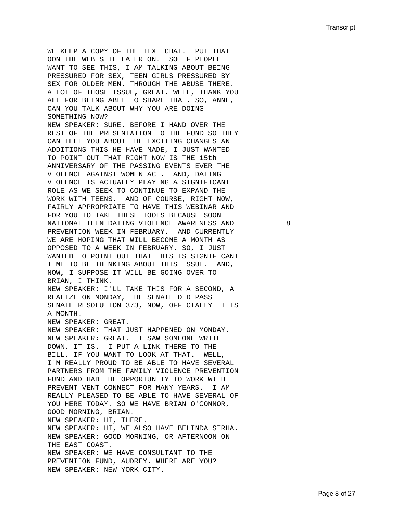WE KEEP A COPY OF THE TEXT CHAT. PUT THAT OON THE WEB SITE LATER ON. SO IF PEOPLE WANT TO SEE THIS, I AM TALKING ABOUT BEING PRESSURED FOR SEX, TEEN GIRLS PRESSURED BY SEX FOR OLDER MEN. THROUGH THE ABUSE THERE. A LOT OF THOSE ISSUE, GREAT. WELL, THANK YOU ALL FOR BEING ABLE TO SHARE THAT. SO, ANNE, CAN YOU TALK ABOUT WHY YOU ARE DOING SOMETHING NOW? NEW SPEAKER: SURE. BEFORE I HAND OVER THE REST OF THE PRESENTATION TO THE FUND SO THEY CAN TELL YOU ABOUT THE EXCITING CHANGES AN ADDITIONS THIS HE HAVE MADE, I JUST WANTED TO POINT OUT THAT RIGHT NOW IS THE 15th ANNIVERSARY OF THE PASSING EVENTS EVER THE VIOLENCE AGAINST WOMEN ACT. AND, DATING VIOLENCE IS ACTUALLY PLAYING A SIGNIFICANT ROLE AS WE SEEK TO CONTINUE TO EXPAND THE WORK WITH TEENS. AND OF COURSE, RIGHT NOW, FAIRLY APPROPRIATE TO HAVE THIS WEBINAR AND FOR YOU TO TAKE THESE TOOLS BECAUSE SOON NATIONAL TEEN DATING VIOLENCE AWARENESS AND 8 PREVENTION WEEK IN FEBRUARY. AND CURRENTLY WE ARE HOPING THAT WILL BECOME A MONTH AS OPPOSED TO A WEEK IN FEBRUARY. SO, I JUST WANTED TO POINT OUT THAT THIS IS SIGNIFICANT TIME TO BE THINKING ABOUT THIS ISSUE. AND, NOW, I SUPPOSE IT WILL BE GOING OVER TO BRIAN, I THINK. NEW SPEAKER: I'LL TAKE THIS FOR A SECOND, A REALIZE ON MONDAY, THE SENATE DID PASS SENATE RESOLUTION 373, NOW, OFFICIALLY IT IS A MONTH. NEW SPEAKER: GREAT. NEW SPEAKER: THAT JUST HAPPENED ON MONDAY. NEW SPEAKER: GREAT. I SAW SOMEONE WRITE DOWN, IT IS. I PUT A LINK THERE TO THE BILL, IF YOU WANT TO LOOK AT THAT. WELL, I'M REALLY PROUD TO BE ABLE TO HAVE SEVERAL PARTNERS FROM THE FAMILY VIOLENCE PREVENTION FUND AND HAD THE OPPORTUNITY TO WORK WITH PREVENT VENT CONNECT FOR MANY YEARS. I AM REALLY PLEASED TO BE ABLE TO HAVE SEVERAL OF YOU HERE TODAY. SO WE HAVE BRIAN O'CONNOR, GOOD MORNING, BRIAN. NEW SPEAKER: HI, THERE. NEW SPEAKER: HI, WE ALSO HAVE BELINDA SIRHA. NEW SPEAKER: GOOD MORNING, OR AFTERNOON ON THE EAST COAST. NEW SPEAKER: WE HAVE CONSULTANT TO THE PREVENTION FUND, AUDREY. WHERE ARE YOU? NEW SPEAKER: NEW YORK CITY.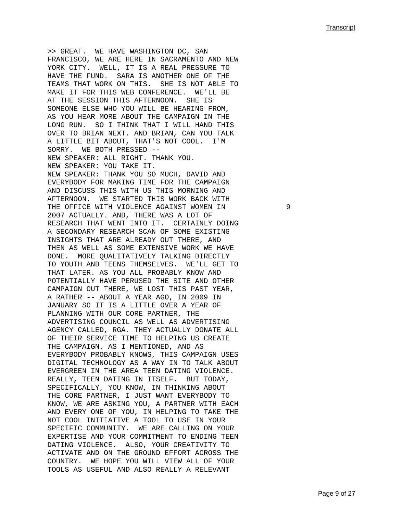>> GREAT. WE HAVE WASHINGTON DC, SAN FRANCISCO, WE ARE HERE IN SACRAMENTO AND NEW YORK CITY. WELL, IT IS A REAL PRESSURE TO HAVE THE FUND. SARA IS ANOTHER ONE OF THE TEAMS THAT WORK ON THIS. SHE IS NOT ABLE TO MAKE IT FOR THIS WEB CONFERENCE. WE'LL BE AT THE SESSION THIS AFTERNOON. SHE IS SOMEONE ELSE WHO YOU WILL BE HEARING FROM, AS YOU HEAR MORE ABOUT THE CAMPAIGN IN THE LONG RUN. SO I THINK THAT I WILL HAND THIS OVER TO BRIAN NEXT. AND BRIAN, CAN YOU TALK A LITTLE BIT ABOUT, THAT'S NOT COOL. I'M SORRY. WE BOTH PRESSED -- NEW SPEAKER: ALL RIGHT. THANK YOU. NEW SPEAKER: YOU TAKE IT. NEW SPEAKER: THANK YOU SO MUCH, DAVID AND EVERYBODY FOR MAKING TIME FOR THE CAMPAIGN AND DISCUSS THIS WITH US THIS MORNING AND AFTERNOON. WE STARTED THIS WORK BACK WITH THE OFFICE WITH VIOLENCE AGAINST WOMEN IN 99 2007 ACTUALLY. AND, THERE WAS A LOT OF RESEARCH THAT WENT INTO IT. CERTAINLY DOING A SECONDARY RESEARCH SCAN OF SOME EXISTING INSIGHTS THAT ARE ALREADY OUT THERE, AND THEN AS WELL AS SOME EXTENSIVE WORK WE HAVE DONE. MORE QUALITATIVELY TALKING DIRECTLY TO YOUTH AND TEENS THEMSELVES. WE'LL GET TO THAT LATER. AS YOU ALL PROBABLY KNOW AND POTENTIALLY HAVE PERUSED THE SITE AND OTHER CAMPAIGN OUT THERE, WE LOST THIS PAST YEAR, A RATHER -- ABOUT A YEAR AGO, IN 2009 IN JANUARY SO IT IS A LITTLE OVER A YEAR OF PLANNING WITH OUR CORE PARTNER, THE ADVERTISING COUNCIL AS WELL AS ADVERTISING AGENCY CALLED, RGA. THEY ACTUALLY DONATE ALL OF THEIR SERVICE TIME TO HELPING US CREATE THE CAMPAIGN. AS I MENTIONED, AND AS EVERYBODY PROBABLY KNOWS, THIS CAMPAIGN USES DIGITAL TECHNOLOGY AS A WAY IN TO TALK ABOUT EVERGREEN IN THE AREA TEEN DATING VIOLENCE. REALLY, TEEN DATING IN ITSELF. BUT TODAY, SPECIFICALLY, YOU KNOW, IN THINKING ABOUT THE CORE PARTNER, I JUST WANT EVERYBODY TO KNOW, WE ARE ASKING YOU, A PARTNER WITH EACH AND EVERY ONE OF YOU, IN HELPING TO TAKE THE NOT COOL INITIATIVE A TOOL TO USE IN YOUR SPECIFIC COMMUNITY. WE ARE CALLING ON YOUR EXPERTISE AND YOUR COMMITMENT TO ENDING TEEN DATING VIOLENCE. ALSO, YOUR CREATIVITY TO ACTIVATE AND ON THE GROUND EFFORT ACROSS THE COUNTRY. WE HOPE YOU WILL VIEW ALL OF YOUR TOOLS AS USEFUL AND ALSO REALLY A RELEVANT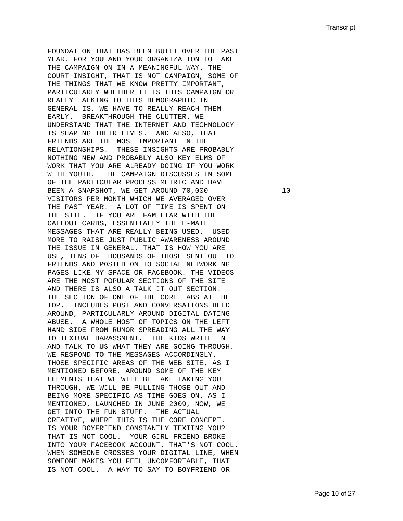FOUNDATION THAT HAS BEEN BUILT OVER THE PAST YEAR. FOR YOU AND YOUR ORGANIZATION TO TAKE THE CAMPAIGN ON IN A MEANINGFUL WAY. THE COURT INSIGHT, THAT IS NOT CAMPAIGN, SOME OF THE THINGS THAT WE KNOW PRETTY IMPORTANT, PARTICULARLY WHETHER IT IS THIS CAMPAIGN OR REALLY TALKING TO THIS DEMOGRAPHIC IN GENERAL IS, WE HAVE TO REALLY REACH THEM EARLY. BREAKTHROUGH THE CLUTTER. WE UNDERSTAND THAT THE INTERNET AND TECHNOLOGY IS SHAPING THEIR LIVES. AND ALSO, THAT FRIENDS ARE THE MOST IMPORTANT IN THE RELATIONSHIPS. THESE INSIGHTS ARE PROBABLY NOTHING NEW AND PROBABLY ALSO KEY ELMS OF WORK THAT YOU ARE ALREADY DOING IF YOU WORK WITH YOUTH. THE CAMPAIGN DISCUSSES IN SOME OF THE PARTICULAR PROCESS METRIC AND HAVE BEEN A SNAPSHOT, WE GET AROUND 70,000 10 10 VISITORS PER MONTH WHICH WE AVERAGED OVER THE PAST YEAR. A LOT OF TIME IS SPENT ON THE SITE. IF YOU ARE FAMILIAR WITH THE CALLOUT CARDS, ESSENTIALLY THE E-MAIL MESSAGES THAT ARE REALLY BEING USED. USED MORE TO RAISE JUST PUBLIC AWARENESS AROUND THE ISSUE IN GENERAL. THAT IS HOW YOU ARE USE, TENS OF THOUSANDS OF THOSE SENT OUT TO FRIENDS AND POSTED ON TO SOCIAL NETWORKING PAGES LIKE MY SPACE OR FACEBOOK. THE VIDEOS ARE THE MOST POPULAR SECTIONS OF THE SITE AND THERE IS ALSO A TALK IT OUT SECTION. THE SECTION OF ONE OF THE CORE TABS AT THE TOP. INCLUDES POST AND CONVERSATIONS HELD AROUND, PARTICULARLY AROUND DIGITAL DATING ABUSE. A WHOLE HOST OF TOPICS ON THE LEFT HAND SIDE FROM RUMOR SPREADING ALL THE WAY TO TEXTUAL HARASSMENT. THE KIDS WRITE IN AND TALK TO US WHAT THEY ARE GOING THROUGH. WE RESPOND TO THE MESSAGES ACCORDINGLY. THOSE SPECIFIC AREAS OF THE WEB SITE, AS I MENTIONED BEFORE, AROUND SOME OF THE KEY ELEMENTS THAT WE WILL BE TAKE TAKING YOU THROUGH, WE WILL BE PULLING THOSE OUT AND BEING MORE SPECIFIC AS TIME GOES ON. AS I MENTIONED, LAUNCHED IN JUNE 2009, NOW, WE GET INTO THE FUN STUFF. THE ACTUAL CREATIVE, WHERE THIS IS THE CORE CONCEPT. IS YOUR BOYFRIEND CONSTANTLY TEXTING YOU? THAT IS NOT COOL. YOUR GIRL FRIEND BROKE INTO YOUR FACEBOOK ACCOUNT. THAT'S NOT COOL. WHEN SOMEONE CROSSES YOUR DIGITAL LINE, WHEN SOMEONE MAKES YOU FEEL UNCOMFORTABLE, THAT IS NOT COOL. A WAY TO SAY TO BOYFRIEND OR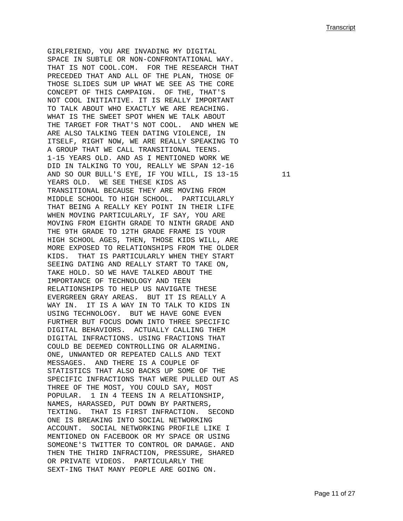GIRLFRIEND, YOU ARE INVADING MY DIGITAL SPACE IN SUBTLE OR NON-CONFRONTATIONAL WAY. THAT IS NOT COOL.COM. FOR THE RESEARCH THAT PRECEDED THAT AND ALL OF THE PLAN, THOSE OF THOSE SLIDES SUM UP WHAT WE SEE AS THE CORE CONCEPT OF THIS CAMPAIGN. OF THE, THAT'S NOT COOL INITIATIVE. IT IS REALLY IMPORTANT TO TALK ABOUT WHO EXACTLY WE ARE REACHING. WHAT IS THE SWEET SPOT WHEN WE TALK ABOUT THE TARGET FOR THAT'S NOT COOL. AND WHEN WE ARE ALSO TALKING TEEN DATING VIOLENCE, IN ITSELF, RIGHT NOW, WE ARE REALLY SPEAKING TO A GROUP THAT WE CALL TRANSITIONAL TEENS. 1-15 YEARS OLD. AND AS I MENTIONED WORK WE DID IN TALKING TO YOU, REALLY WE SPAN 12-16 AND SO OUR BULL'S EYE, IF YOU WILL, IS 13-15 11 YEARS OLD. WE SEE THESE KIDS AS TRANSITIONAL BECAUSE THEY ARE MOVING FROM MIDDLE SCHOOL TO HIGH SCHOOL. PARTICULARLY THAT BEING A REALLY KEY POINT IN THEIR LIFE WHEN MOVING PARTICULARLY, IF SAY, YOU ARE MOVING FROM EIGHTH GRADE TO NINTH GRADE AND THE 9TH GRADE TO 12TH GRADE FRAME IS YOUR HIGH SCHOOL AGES, THEN, THOSE KIDS WILL, ARE MORE EXPOSED TO RELATIONSHIPS FROM THE OLDER KIDS. THAT IS PARTICULARLY WHEN THEY START SEEING DATING AND REALLY START TO TAKE ON, TAKE HOLD. SO WE HAVE TALKED ABOUT THE IMPORTANCE OF TECHNOLOGY AND TEEN RELATIONSHIPS TO HELP US NAVIGATE THESE EVERGREEN GRAY AREAS. BUT IT IS REALLY A WAY IN. IT IS A WAY IN TO TALK TO KIDS IN USING TECHNOLOGY. BUT WE HAVE GONE EVEN FURTHER BUT FOCUS DOWN INTO THREE SPECIFIC DIGITAL BEHAVIORS. ACTUALLY CALLING THEM DIGITAL INFRACTIONS. USING FRACTIONS THAT COULD BE DEEMED CONTROLLING OR ALARMING. ONE, UNWANTED OR REPEATED CALLS AND TEXT MESSAGES. AND THERE IS A COUPLE OF STATISTICS THAT ALSO BACKS UP SOME OF THE SPECIFIC INFRACTIONS THAT WERE PULLED OUT AS THREE OF THE MOST, YOU COULD SAY, MOST POPULAR. 1 IN 4 TEENS IN A RELATIONSHIP, NAMES, HARASSED, PUT DOWN BY PARTNERS, TEXTING. THAT IS FIRST INFRACTION. SECOND ONE IS BREAKING INTO SOCIAL NETWORKING ACCOUNT. SOCIAL NETWORKING PROFILE LIKE I MENTIONED ON FACEBOOK OR MY SPACE OR USING SOMEONE'S TWITTER TO CONTROL OR DAMAGE. AND THEN THE THIRD INFRACTION, PRESSURE, SHARED OR PRIVATE VIDEOS. PARTICULARLY THE SEXT-ING THAT MANY PEOPLE ARE GOING ON.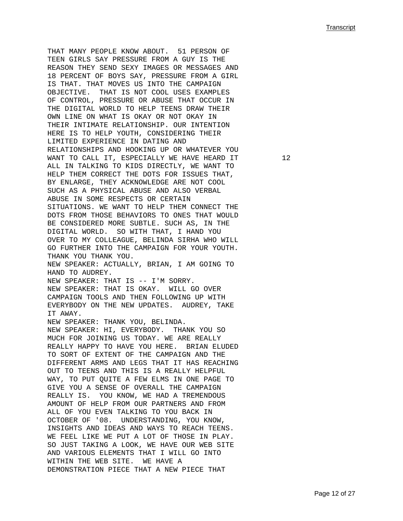THAT MANY PEOPLE KNOW ABOUT. 51 PERSON OF TEEN GIRLS SAY PRESSURE FROM A GUY IS THE REASON THEY SEND SEXY IMAGES OR MESSAGES AND 18 PERCENT OF BOYS SAY, PRESSURE FROM A GIRL IS THAT. THAT MOVES US INTO THE CAMPAIGN OBJECTIVE. THAT IS NOT COOL USES EXAMPLES OF CONTROL, PRESSURE OR ABUSE THAT OCCUR IN THE DIGITAL WORLD TO HELP TEENS DRAW THEIR OWN LINE ON WHAT IS OKAY OR NOT OKAY IN THEIR INTIMATE RELATIONSHIP. OUR INTENTION HERE IS TO HELP YOUTH, CONSIDERING THEIR LIMITED EXPERIENCE IN DATING AND RELATIONSHIPS AND HOOKING UP OR WHATEVER YOU WANT TO CALL IT, ESPECIALLY WE HAVE HEARD IT  $12$ ALL IN TALKING TO KIDS DIRECTLY, WE WANT TO HELP THEM CORRECT THE DOTS FOR ISSUES THAT, BY ENLARGE, THEY ACKNOWLEDGE ARE NOT COOL SUCH AS A PHYSICAL ABUSE AND ALSO VERBAL ABUSE IN SOME RESPECTS OR CERTAIN SITUATIONS. WE WANT TO HELP THEM CONNECT THE DOTS FROM THOSE BEHAVIORS TO ONES THAT WOULD BE CONSIDERED MORE SUBTLE. SUCH AS, IN THE DIGITAL WORLD. SO WITH THAT, I HAND YOU OVER TO MY COLLEAGUE, BELINDA SIRHA WHO WILL GO FURTHER INTO THE CAMPAIGN FOR YOUR YOUTH. THANK YOU THANK YOU. NEW SPEAKER: ACTUALLY, BRIAN, I AM GOING TO HAND TO AUDREY. NEW SPEAKER: THAT IS -- I'M SORRY. NEW SPEAKER: THAT IS OKAY. WILL GO OVER CAMPAIGN TOOLS AND THEN FOLLOWING UP WITH EVERYBODY ON THE NEW UPDATES. AUDREY, TAKE IT AWAY. NEW SPEAKER: THANK YOU, BELINDA. NEW SPEAKER: HI, EVERYBODY. THANK YOU SO MUCH FOR JOINING US TODAY. WE ARE REALLY REALLY HAPPY TO HAVE YOU HERE. BRIAN ELUDED TO SORT OF EXTENT OF THE CAMPAIGN AND THE DIFFERENT ARMS AND LEGS THAT IT HAS REACHING OUT TO TEENS AND THIS IS A REALLY HELPFUL WAY, TO PUT QUITE A FEW ELMS IN ONE PAGE TO GIVE YOU A SENSE OF OVERALL THE CAMPAIGN REALLY IS. YOU KNOW, WE HAD A TREMENDOUS AMOUNT OF HELP FROM OUR PARTNERS AND FROM ALL OF YOU EVEN TALKING TO YOU BACK IN OCTOBER OF '08. UNDERSTANDING, YOU KNOW, INSIGHTS AND IDEAS AND WAYS TO REACH TEENS. WE FEEL LIKE WE PUT A LOT OF THOSE IN PLAY. SO JUST TAKING A LOOK, WE HAVE OUR WEB SITE AND VARIOUS ELEMENTS THAT I WILL GO INTO WITHIN THE WEB SITE. WE HAVE A DEMONSTRATION PIECE THAT A NEW PIECE THAT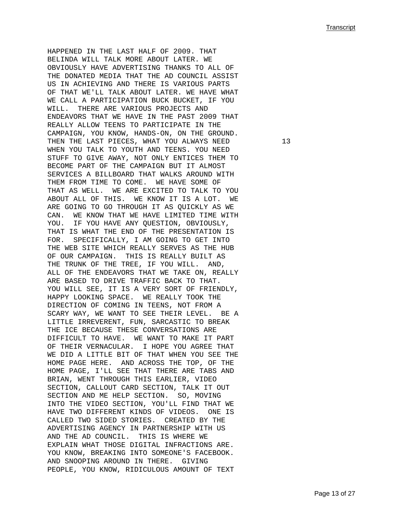HAPPENED IN THE LAST HALF OF 2009. THAT BELINDA WILL TALK MORE ABOUT LATER. WE OBVIOUSLY HAVE ADVERTISING THANKS TO ALL OF THE DONATED MEDIA THAT THE AD COUNCIL ASSIST US IN ACHIEVING AND THERE IS VARIOUS PARTS OF THAT WE'LL TALK ABOUT LATER. WE HAVE WHAT WE CALL A PARTICIPATION BUCK BUCKET, IF YOU WILL. THERE ARE VARIOUS PROJECTS AND ENDEAVORS THAT WE HAVE IN THE PAST 2009 THAT REALLY ALLOW TEENS TO PARTICIPATE IN THE CAMPAIGN, YOU KNOW, HANDS-ON, ON THE GROUND. THEN THE LAST PIECES, WHAT YOU ALWAYS NEED 13 WHEN YOU TALK TO YOUTH AND TEENS. YOU NEED STUFF TO GIVE AWAY, NOT ONLY ENTICES THEM TO BECOME PART OF THE CAMPAIGN BUT IT ALMOST SERVICES A BILLBOARD THAT WALKS AROUND WITH THEM FROM TIME TO COME. WE HAVE SOME OF THAT AS WELL. WE ARE EXCITED TO TALK TO YOU ABOUT ALL OF THIS. WE KNOW IT IS A LOT. WE ARE GOING TO GO THROUGH IT AS QUICKLY AS WE CAN. WE KNOW THAT WE HAVE LIMITED TIME WITH YOU. IF YOU HAVE ANY QUESTION, OBVIOUSLY, THAT IS WHAT THE END OF THE PRESENTATION IS FOR. SPECIFICALLY, I AM GOING TO GET INTO THE WEB SITE WHICH REALLY SERVES AS THE HUB OF OUR CAMPAIGN. THIS IS REALLY BUILT AS THE TRUNK OF THE TREE, IF YOU WILL. AND, ALL OF THE ENDEAVORS THAT WE TAKE ON, REALLY ARE BASED TO DRIVE TRAFFIC BACK TO THAT. YOU WILL SEE, IT IS A VERY SORT OF FRIENDLY, HAPPY LOOKING SPACE. WE REALLY TOOK THE DIRECTION OF COMING IN TEENS, NOT FROM A SCARY WAY, WE WANT TO SEE THEIR LEVEL. BE A LITTLE IRREVERENT, FUN, SARCASTIC TO BREAK THE ICE BECAUSE THESE CONVERSATIONS ARE DIFFICULT TO HAVE. WE WANT TO MAKE IT PART OF THEIR VERNACULAR. I HOPE YOU AGREE THAT WE DID A LITTLE BIT OF THAT WHEN YOU SEE THE HOME PAGE HERE. AND ACROSS THE TOP, OF THE HOME PAGE, I'LL SEE THAT THERE ARE TABS AND BRIAN, WENT THROUGH THIS EARLIER, VIDEO SECTION, CALLOUT CARD SECTION, TALK IT OUT SECTION AND ME HELP SECTION. SO, MOVING INTO THE VIDEO SECTION, YOU'LL FIND THAT WE HAVE TWO DIFFERENT KINDS OF VIDEOS. ONE IS CALLED TWO SIDED STORIES. CREATED BY THE ADVERTISING AGENCY IN PARTNERSHIP WITH US AND THE AD COUNCIL. THIS IS WHERE WE EXPLAIN WHAT THOSE DIGITAL INFRACTIONS ARE. YOU KNOW, BREAKING INTO SOMEONE'S FACEBOOK. AND SNOOPING AROUND IN THERE. GIVING PEOPLE, YOU KNOW, RIDICULOUS AMOUNT OF TEXT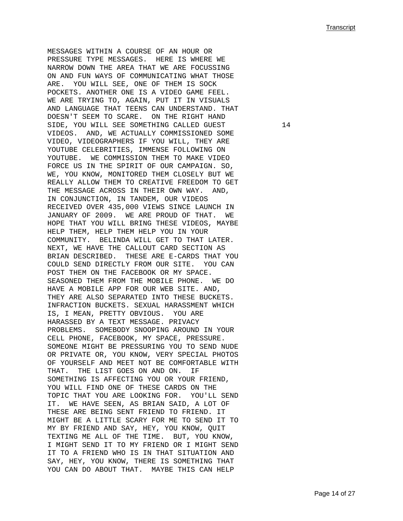MESSAGES WITHIN A COURSE OF AN HOUR OR PRESSURE TYPE MESSAGES. HERE IS WHERE WE NARROW DOWN THE AREA THAT WE ARE FOCUSSING ON AND FUN WAYS OF COMMUNICATING WHAT THOSE ARE. YOU WILL SEE, ONE OF THEM IS SOCK POCKETS. ANOTHER ONE IS A VIDEO GAME FEEL. WE ARE TRYING TO, AGAIN, PUT IT IN VISUALS AND LANGUAGE THAT TEENS CAN UNDERSTAND. THAT DOESN'T SEEM TO SCARE. ON THE RIGHT HAND SIDE, YOU WILL SEE SOMETHING CALLED GUEST 14 VIDEOS. AND, WE ACTUALLY COMMISSIONED SOME VIDEO, VIDEOGRAPHERS IF YOU WILL, THEY ARE YOUTUBE CELEBRITIES, IMMENSE FOLLOWING ON YOUTUBE. WE COMMISSION THEM TO MAKE VIDEO FORCE US IN THE SPIRIT OF OUR CAMPAIGN. SO, WE, YOU KNOW, MONITORED THEM CLOSELY BUT WE REALLY ALLOW THEM TO CREATIVE FREEDOM TO GET THE MESSAGE ACROSS IN THEIR OWN WAY. AND, IN CONJUNCTION, IN TANDEM, OUR VIDEOS RECEIVED OVER 435,000 VIEWS SINCE LAUNCH IN JANUARY OF 2009. WE ARE PROUD OF THAT. WE HOPE THAT YOU WILL BRING THESE VIDEOS, MAYBE HELP THEM, HELP THEM HELP YOU IN YOUR COMMUNITY. BELINDA WILL GET TO THAT LATER. NEXT, WE HAVE THE CALLOUT CARD SECTION AS BRIAN DESCRIBED. THESE ARE E-CARDS THAT YOU COULD SEND DIRECTLY FROM OUR SITE. YOU CAN POST THEM ON THE FACEBOOK OR MY SPACE. SEASONED THEM FROM THE MOBILE PHONE. WE DO HAVE A MOBILE APP FOR OUR WEB SITE. AND, THEY ARE ALSO SEPARATED INTO THESE BUCKETS. INFRACTION BUCKETS. SEXUAL HARASSMENT WHICH IS, I MEAN, PRETTY OBVIOUS. YOU ARE HARASSED BY A TEXT MESSAGE. PRIVACY PROBLEMS. SOMEBODY SNOOPING AROUND IN YOUR CELL PHONE, FACEBOOK, MY SPACE, PRESSURE. SOMEONE MIGHT BE PRESSURING YOU TO SEND NUDE OR PRIVATE OR, YOU KNOW, VERY SPECIAL PHOTOS OF YOURSELF AND MEET NOT BE COMFORTABLE WITH THAT. THE LIST GOES ON AND ON. IF SOMETHING IS AFFECTING YOU OR YOUR FRIEND, YOU WILL FIND ONE OF THESE CARDS ON THE TOPIC THAT YOU ARE LOOKING FOR. YOU'LL SEND IT. WE HAVE SEEN, AS BRIAN SAID, A LOT OF THESE ARE BEING SENT FRIEND TO FRIEND. IT MIGHT BE A LITTLE SCARY FOR ME TO SEND IT TO MY BY FRIEND AND SAY, HEY, YOU KNOW, QUIT TEXTING ME ALL OF THE TIME. BUT, YOU KNOW, I MIGHT SEND IT TO MY FRIEND OR I MIGHT SEND IT TO A FRIEND WHO IS IN THAT SITUATION AND SAY, HEY, YOU KNOW, THERE IS SOMETHING THAT YOU CAN DO ABOUT THAT. MAYBE THIS CAN HELP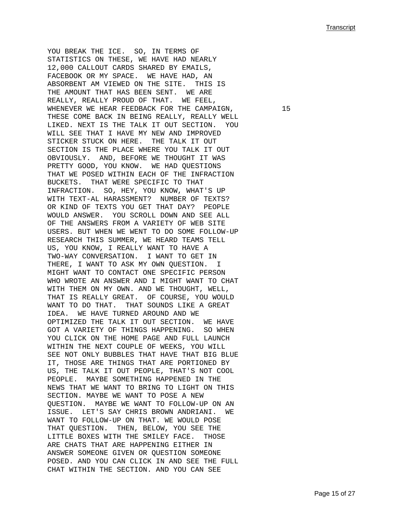YOU BREAK THE ICE. SO, IN TERMS OF STATISTICS ON THESE, WE HAVE HAD NEARLY 12,000 CALLOUT CARDS SHARED BY EMAILS, FACEBOOK OR MY SPACE. WE HAVE HAD, AN ABSORBENT AM VIEWED ON THE SITE. THIS IS THE AMOUNT THAT HAS BEEN SENT. WE ARE REALLY, REALLY PROUD OF THAT. WE FEEL, WHENEVER WE HEAR FEEDBACK FOR THE CAMPAIGN,  $15$ THESE COME BACK IN BEING REALLY, REALLY WELL LIKED. NEXT IS THE TALK IT OUT SECTION. YOU WILL SEE THAT I HAVE MY NEW AND IMPROVED STICKER STUCK ON HERE. THE TALK IT OUT SECTION IS THE PLACE WHERE YOU TALK IT OUT OBVIOUSLY. AND, BEFORE WE THOUGHT IT WAS PRETTY GOOD, YOU KNOW. WE HAD QUESTIONS THAT WE POSED WITHIN EACH OF THE INFRACTION BUCKETS. THAT WERE SPECIFIC TO THAT INFRACTION. SO, HEY, YOU KNOW, WHAT'S UP WITH TEXT-AL HARASSMENT? NUMBER OF TEXTS? OR KIND OF TEXTS YOU GET THAT DAY? PEOPLE WOULD ANSWER. YOU SCROLL DOWN AND SEE ALL OF THE ANSWERS FROM A VARIETY OF WEB SITE USERS. BUT WHEN WE WENT TO DO SOME FOLLOW-UP RESEARCH THIS SUMMER, WE HEARD TEAMS TELL US, YOU KNOW, I REALLY WANT TO HAVE A TWO-WAY CONVERSATION. I WANT TO GET IN THERE, I WANT TO ASK MY OWN QUESTION. I MIGHT WANT TO CONTACT ONE SPECIFIC PERSON WHO WROTE AN ANSWER AND I MIGHT WANT TO CHAT WITH THEM ON MY OWN. AND WE THOUGHT, WELL, THAT IS REALLY GREAT. OF COURSE, YOU WOULD WANT TO DO THAT. THAT SOUNDS LIKE A GREAT IDEA. WE HAVE TURNED AROUND AND WE OPTIMIZED THE TALK IT OUT SECTION. WE HAVE GOT A VARIETY OF THINGS HAPPENING. SO WHEN YOU CLICK ON THE HOME PAGE AND FULL LAUNCH WITHIN THE NEXT COUPLE OF WEEKS, YOU WILL SEE NOT ONLY BUBBLES THAT HAVE THAT BIG BLUE IT, THOSE ARE THINGS THAT ARE PORTIONED BY US, THE TALK IT OUT PEOPLE, THAT'S NOT COOL PEOPLE. MAYBE SOMETHING HAPPENED IN THE NEWS THAT WE WANT TO BRING TO LIGHT ON THIS SECTION. MAYBE WE WANT TO POSE A NEW QUESTION. MAYBE WE WANT TO FOLLOW-UP ON AN ISSUE. LET'S SAY CHRIS BROWN ANDRIANI. WE WANT TO FOLLOW-UP ON THAT. WE WOULD POSE THAT QUESTION. THEN, BELOW, YOU SEE THE LITTLE BOXES WITH THE SMILEY FACE. THOSE ARE CHATS THAT ARE HAPPENING EITHER IN ANSWER SOMEONE GIVEN OR QUESTION SOMEONE POSED. AND YOU CAN CLICK IN AND SEE THE FULL CHAT WITHIN THE SECTION. AND YOU CAN SEE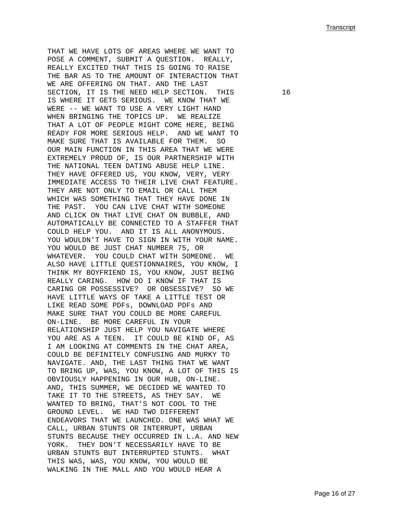THAT WE HAVE LOTS OF AREAS WHERE WE WANT TO POSE A COMMENT, SUBMIT A QUESTION. REALLY, REALLY EXCITED THAT THIS IS GOING TO RAISE THE BAR AS TO THE AMOUNT OF INTERACTION THAT WE ARE OFFERING ON THAT. AND THE LAST SECTION, IT IS THE NEED HELP SECTION. THIS 16 IS WHERE IT GETS SERIOUS. WE KNOW THAT WE WERE -- WE WANT TO USE A VERY LIGHT HAND WHEN BRINGING THE TOPICS UP. WE REALIZE THAT A LOT OF PEOPLE MIGHT COME HERE, BEING READY FOR MORE SERIOUS HELP. AND WE WANT TO MAKE SURE THAT IS AVAILABLE FOR THEM. SO OUR MAIN FUNCTION IN THIS AREA THAT WE WERE EXTREMELY PROUD OF, IS OUR PARTNERSHIP WITH THE NATIONAL TEEN DATING ABUSE HELP LINE. THEY HAVE OFFERED US, YOU KNOW, VERY, VERY IMMEDIATE ACCESS TO THEIR LIVE CHAT FEATURE. THEY ARE NOT ONLY TO EMAIL OR CALL THEM WHICH WAS SOMETHING THAT THEY HAVE DONE IN THE PAST. YOU CAN LIVE CHAT WITH SOMEONE AND CLICK ON THAT LIVE CHAT ON BUBBLE, AND AUTOMATICALLY BE CONNECTED TO A STAFFER THAT COULD HELP YOU. AND IT IS ALL ANONYMOUS. YOU WOULDN'T HAVE TO SIGN IN WITH YOUR NAME. YOU WOULD BE JUST CHAT NUMBER 75, OR WHATEVER. YOU COULD CHAT WITH SOMEONE. WE ALSO HAVE LITTLE QUESTIONNAIRES, YOU KNOW, I THINK MY BOYFRIEND IS, YOU KNOW, JUST BEING REALLY CARING. HOW DO I KNOW IF THAT IS CARING OR POSSESSIVE? OR OBSESSIVE? SO WE HAVE LITTLE WAYS OF TAKE A LITTLE TEST OR LIKE READ SOME PDFs, DOWNLOAD PDFs AND MAKE SURE THAT YOU COULD BE MORE CAREFUL ON-LINE. BE MORE CAREFUL IN YOUR RELATIONSHIP JUST HELP YOU NAVIGATE WHERE YOU ARE AS A TEEN. IT COULD BE KIND OF, AS I AM LOOKING AT COMMENTS IN THE CHAT AREA, COULD BE DEFINITELY CONFUSING AND MURKY TO NAVIGATE. AND, THE LAST THING THAT WE WANT TO BRING UP, WAS, YOU KNOW, A LOT OF THIS IS OBVIOUSLY HAPPENING IN OUR HUB, ON-LINE. AND, THIS SUMMER, WE DECIDED WE WANTED TO TAKE IT TO THE STREETS, AS THEY SAY. WE WANTED TO BRING, THAT'S NOT COOL TO THE GROUND LEVEL. WE HAD TWO DIFFERENT ENDEAVORS THAT WE LAUNCHED. ONE WAS WHAT WE CALL, URBAN STUNTS OR INTERRUPT, URBAN STUNTS BECAUSE THEY OCCURRED IN L.A. AND NEW YORK. THEY DON'T NECESSARILY HAVE TO BE URBAN STUNTS BUT INTERRUPTED STUNTS. WHAT THIS WAS, WAS, YOU KNOW, YOU WOULD BE WALKING IN THE MALL AND YOU WOULD HEAR A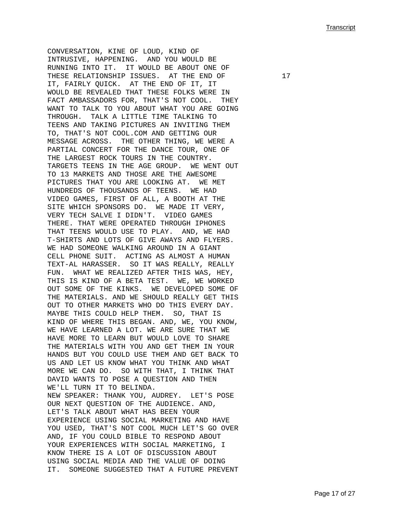CONVERSATION, KINE OF LOUD, KIND OF INTRUSIVE, HAPPENING. AND YOU WOULD BE RUNNING INTO IT. IT WOULD BE ABOUT ONE OF THESE RELATIONSHIP ISSUES. AT THE END OF 17 IT, FAIRLY QUICK. AT THE END OF IT, IT WOULD BE REVEALED THAT THESE FOLKS WERE IN FACT AMBASSADORS FOR, THAT'S NOT COOL. THEY WANT TO TALK TO YOU ABOUT WHAT YOU ARE GOING THROUGH. TALK A LITTLE TIME TALKING TO TEENS AND TAKING PICTURES AN INVITING THEM TO, THAT'S NOT COOL.COM AND GETTING OUR MESSAGE ACROSS. THE OTHER THING, WE WERE A PARTIAL CONCERT FOR THE DANCE TOUR, ONE OF THE LARGEST ROCK TOURS IN THE COUNTRY. TARGETS TEENS IN THE AGE GROUP. WE WENT OUT TO 13 MARKETS AND THOSE ARE THE AWESOME PICTURES THAT YOU ARE LOOKING AT. WE MET HUNDREDS OF THOUSANDS OF TEENS. WE HAD VIDEO GAMES, FIRST OF ALL, A BOOTH AT THE SITE WHICH SPONSORS DO. WE MADE IT VERY, VERY TECH SALVE I DIDN'T. VIDEO GAMES THERE. THAT WERE OPERATED THROUGH IPHONES THAT TEENS WOULD USE TO PLAY. AND, WE HAD T-SHIRTS AND LOTS OF GIVE AWAYS AND FLYERS. WE HAD SOMEONE WALKING AROUND IN A GIANT CELL PHONE SUIT. ACTING AS ALMOST A HUMAN TEXT-AL HARASSER. SO IT WAS REALLY, REALLY FUN. WHAT WE REALIZED AFTER THIS WAS, HEY, THIS IS KIND OF A BETA TEST. WE, WE WORKED OUT SOME OF THE KINKS. WE DEVELOPED SOME OF THE MATERIALS. AND WE SHOULD REALLY GET THIS OUT TO OTHER MARKETS WHO DO THIS EVERY DAY. MAYBE THIS COULD HELP THEM. SO, THAT IS KIND OF WHERE THIS BEGAN. AND, WE, YOU KNOW, WE HAVE LEARNED A LOT. WE ARE SURE THAT WE HAVE MORE TO LEARN BUT WOULD LOVE TO SHARE THE MATERIALS WITH YOU AND GET THEM IN YOUR HANDS BUT YOU COULD USE THEM AND GET BACK TO US AND LET US KNOW WHAT YOU THINK AND WHAT MORE WE CAN DO. SO WITH THAT, I THINK THAT DAVID WANTS TO POSE A QUESTION AND THEN WE'LL TURN IT TO BELINDA. NEW SPEAKER: THANK YOU, AUDREY. LET'S POSE OUR NEXT QUESTION OF THE AUDIENCE. AND, LET'S TALK ABOUT WHAT HAS BEEN YOUR EXPERIENCE USING SOCIAL MARKETING AND HAVE YOU USED, THAT'S NOT COOL MUCH LET'S GO OVER AND, IF YOU COULD BIBLE TO RESPOND ABOUT YOUR EXPERIENCES WITH SOCIAL MARKETING, I KNOW THERE IS A LOT OF DISCUSSION ABOUT USING SOCIAL MEDIA AND THE VALUE OF DOING IT. SOMEONE SUGGESTED THAT A FUTURE PREVENT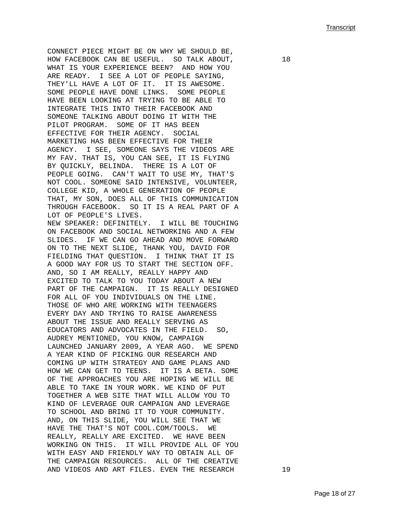CONNECT PIECE MIGHT BE ON WHY WE SHOULD BE, HOW FACEBOOK CAN BE USEFUL. SO TALK ABOUT,  $18$ WHAT IS YOUR EXPERIENCE BEEN? AND HOW YOU ARE READY. I SEE A LOT OF PEOPLE SAYING, THEY'LL HAVE A LOT OF IT. IT IS AWESOME. SOME PEOPLE HAVE DONE LINKS. SOME PEOPLE HAVE BEEN LOOKING AT TRYING TO BE ABLE TO INTEGRATE THIS INTO THEIR FACEBOOK AND SOMEONE TALKING ABOUT DOING IT WITH THE PILOT PROGRAM. SOME OF IT HAS BEEN EFFECTIVE FOR THEIR AGENCY. SOCIAL MARKETING HAS BEEN EFFECTIVE FOR THEIR AGENCY. I SEE, SOMEONE SAYS THE VIDEOS ARE MY FAV. THAT IS, YOU CAN SEE, IT IS FLYING BY QUICKLY, BELINDA. THERE IS A LOT OF PEOPLE GOING. CAN'T WAIT TO USE MY, THAT'S NOT COOL. SOMEONE SAID INTENSIVE, VOLUNTEER, COLLEGE KID, A WHOLE GENERATION OF PEOPLE THAT, MY SON, DOES ALL OF THIS COMMUNICATION THROUGH FACEBOOK. SO IT IS A REAL PART OF A LOT OF PEOPLE'S LIVES. NEW SPEAKER: DEFINITELY. I WILL BE TOUCHING ON FACEBOOK AND SOCIAL NETWORKING AND A FEW SLIDES. IF WE CAN GO AHEAD AND MOVE FORWARD ON TO THE NEXT SLIDE, THANK YOU, DAVID FOR FIELDING THAT QUESTION. I THINK THAT IT IS A GOOD WAY FOR US TO START THE SECTION OFF. AND, SO I AM REALLY, REALLY HAPPY AND EXCITED TO TALK TO YOU TODAY ABOUT A NEW PART OF THE CAMPAIGN. IT IS REALLY DESIGNED FOR ALL OF YOU INDIVIDUALS ON THE LINE. THOSE OF WHO ARE WORKING WITH TEENAGERS EVERY DAY AND TRYING TO RAISE AWARENESS ABOUT THE ISSUE AND REALLY SERVING AS EDUCATORS AND ADVOCATES IN THE FIELD. SO, AUDREY MENTIONED, YOU KNOW, CAMPAIGN LAUNCHED JANUARY 2009, A YEAR AGO. WE SPEND A YEAR KIND OF PICKING OUR RESEARCH AND COMING UP WITH STRATEGY AND GAME PLANS AND HOW WE CAN GET TO TEENS. IT IS A BETA. SOME OF THE APPROACHES YOU ARE HOPING WE WILL BE ABLE TO TAKE IN YOUR WORK. WE KIND OF PUT TOGETHER A WEB SITE THAT WILL ALLOW YOU TO KIND OF LEVERAGE OUR CAMPAIGN AND LEVERAGE TO SCHOOL AND BRING IT TO YOUR COMMUNITY. AND, ON THIS SLIDE, YOU WILL SEE THAT WE HAVE THE THAT'S NOT COOL.COM/TOOLS. WE REALLY, REALLY ARE EXCITED. WE HAVE BEEN WORKING ON THIS. IT WILL PROVIDE ALL OF YOU WITH EASY AND FRIENDLY WAY TO OBTAIN ALL OF THE CAMPAIGN RESOURCES. ALL OF THE CREATIVE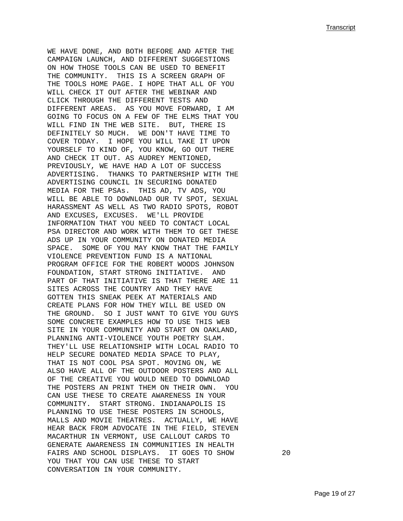WE HAVE DONE, AND BOTH BEFORE AND AFTER THE CAMPAIGN LAUNCH, AND DIFFERENT SUGGESTIONS ON HOW THOSE TOOLS CAN BE USED TO BENEFIT THE COMMUNITY. THIS IS A SCREEN GRAPH OF THE TOOLS HOME PAGE. I HOPE THAT ALL OF YOU WILL CHECK IT OUT AFTER THE WEBINAR AND CLICK THROUGH THE DIFFERENT TESTS AND DIFFERENT AREAS. AS YOU MOVE FORWARD, I AM GOING TO FOCUS ON A FEW OF THE ELMS THAT YOU WILL FIND IN THE WEB SITE. BUT, THERE IS DEFINITELY SO MUCH. WE DON'T HAVE TIME TO COVER TODAY. I HOPE YOU WILL TAKE IT UPON YOURSELF TO KIND OF, YOU KNOW, GO OUT THERE AND CHECK IT OUT. AS AUDREY MENTIONED, PREVIOUSLY, WE HAVE HAD A LOT OF SUCCESS ADVERTISING. THANKS TO PARTNERSHIP WITH THE ADVERTISING COUNCIL IN SECURING DONATED MEDIA FOR THE PSAs. THIS AD, TV ADS, YOU WILL BE ABLE TO DOWNLOAD OUR TV SPOT, SEXUAL HARASSMENT AS WELL AS TWO RADIO SPOTS, ROBOT AND EXCUSES, EXCUSES. WE'LL PROVIDE INFORMATION THAT YOU NEED TO CONTACT LOCAL PSA DIRECTOR AND WORK WITH THEM TO GET THESE ADS UP IN YOUR COMMUNITY ON DONATED MEDIA SPACE. SOME OF YOU MAY KNOW THAT THE FAMILY VIOLENCE PREVENTION FUND IS A NATIONAL PROGRAM OFFICE FOR THE ROBERT WOODS JOHNSON FOUNDATION, START STRONG INITIATIVE. AND PART OF THAT INITIATIVE IS THAT THERE ARE 11 SITES ACROSS THE COUNTRY AND THEY HAVE GOTTEN THIS SNEAK PEEK AT MATERIALS AND CREATE PLANS FOR HOW THEY WILL BE USED ON THE GROUND. SO I JUST WANT TO GIVE YOU GUYS SOME CONCRETE EXAMPLES HOW TO USE THIS WEB SITE IN YOUR COMMUNITY AND START ON OAKLAND, PLANNING ANTI-VIOLENCE YOUTH POETRY SLAM. THEY'LL USE RELATIONSHIP WITH LOCAL RADIO TO HELP SECURE DONATED MEDIA SPACE TO PLAY, THAT IS NOT COOL PSA SPOT. MOVING ON, WE ALSO HAVE ALL OF THE OUTDOOR POSTERS AND ALL OF THE CREATIVE YOU WOULD NEED TO DOWNLOAD THE POSTERS AN PRINT THEM ON THEIR OWN. YOU CAN USE THESE TO CREATE AWARENESS IN YOUR COMMUNITY. START STRONG. INDIANAPOLIS IS PLANNING TO USE THESE POSTERS IN SCHOOLS, MALLS AND MOVIE THEATRES. ACTUALLY, WE HAVE HEAR BACK FROM ADVOCATE IN THE FIELD, STEVEN MACARTHUR IN VERMONT, USE CALLOUT CARDS TO GENERATE AWARENESS IN COMMUNITIES IN HEALTH FAIRS AND SCHOOL DISPLAYS. IT GOES TO SHOW 20 YOU THAT YOU CAN USE THESE TO START CONVERSATION IN YOUR COMMUNITY.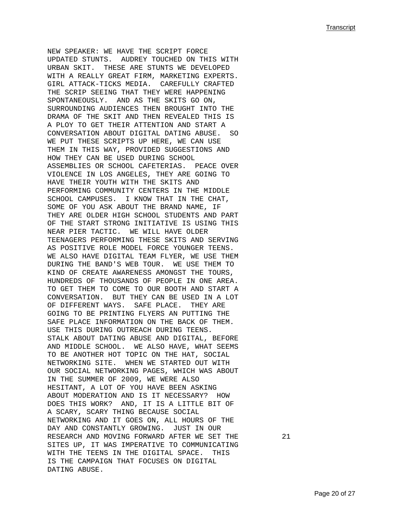NEW SPEAKER: WE HAVE THE SCRIPT FORCE UPDATED STUNTS. AUDREY TOUCHED ON THIS WITH URBAN SKIT. THESE ARE STUNTS WE DEVELOPED WITH A REALLY GREAT FIRM, MARKETING EXPERTS. GIRL ATTACK-TICKS MEDIA. CAREFULLY CRAFTED THE SCRIP SEEING THAT THEY WERE HAPPENING SPONTANEOUSLY. AND AS THE SKITS GO ON, SURROUNDING AUDIENCES THEN BROUGHT INTO THE DRAMA OF THE SKIT AND THEN REVEALED THIS IS A PLOY TO GET THEIR ATTENTION AND START A CONVERSATION ABOUT DIGITAL DATING ABUSE. SO WE PUT THESE SCRIPTS UP HERE, WE CAN USE THEM IN THIS WAY, PROVIDED SUGGESTIONS AND HOW THEY CAN BE USED DURING SCHOOL ASSEMBLIES OR SCHOOL CAFETERIAS. PEACE OVER VIOLENCE IN LOS ANGELES, THEY ARE GOING TO HAVE THEIR YOUTH WITH THE SKITS AND PERFORMING COMMUNITY CENTERS IN THE MIDDLE SCHOOL CAMPUSES. I KNOW THAT IN THE CHAT, SOME OF YOU ASK ABOUT THE BRAND NAME, IF THEY ARE OLDER HIGH SCHOOL STUDENTS AND PART OF THE START STRONG INITIATIVE IS USING THIS NEAR PIER TACTIC. WE WILL HAVE OLDER TEENAGERS PERFORMING THESE SKITS AND SERVING AS POSITIVE ROLE MODEL FORCE YOUNGER TEENS. WE ALSO HAVE DIGITAL TEAM FLYER, WE USE THEM DURING THE BAND'S WEB TOUR. WE USE THEM TO KIND OF CREATE AWARENESS AMONGST THE TOURS, HUNDREDS OF THOUSANDS OF PEOPLE IN ONE AREA. TO GET THEM TO COME TO OUR BOOTH AND START A CONVERSATION. BUT THEY CAN BE USED IN A LOT OF DIFFERENT WAYS. SAFE PLACE. THEY ARE GOING TO BE PRINTING FLYERS AN PUTTING THE SAFE PLACE INFORMATION ON THE BACK OF THEM. USE THIS DURING OUTREACH DURING TEENS. STALK ABOUT DATING ABUSE AND DIGITAL, BEFORE AND MIDDLE SCHOOL. WE ALSO HAVE, WHAT SEEMS TO BE ANOTHER HOT TOPIC ON THE HAT, SOCIAL NETWORKING SITE. WHEN WE STARTED OUT WITH OUR SOCIAL NETWORKING PAGES, WHICH WAS ABOUT IN THE SUMMER OF 2009, WE WERE ALSO HESITANT, A LOT OF YOU HAVE BEEN ASKING ABOUT MODERATION AND IS IT NECESSARY? HOW DOES THIS WORK? AND, IT IS A LITTLE BIT OF A SCARY, SCARY THING BECAUSE SOCIAL NETWORKING AND IT GOES ON, ALL HOURS OF THE DAY AND CONSTANTLY GROWING. JUST IN OUR RESEARCH AND MOVING FORWARD AFTER WE SET THE 21 SITES UP, IT WAS IMPERATIVE TO COMMUNICATING WITH THE TEENS IN THE DIGITAL SPACE. THIS IS THE CAMPAIGN THAT FOCUSES ON DIGITAL DATING ABUSE.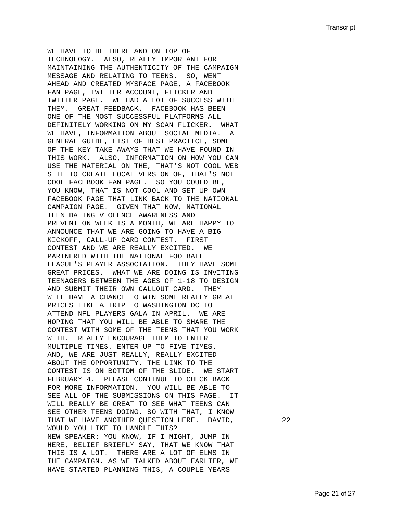WE HAVE TO BE THERE AND ON TOP OF TECHNOLOGY. ALSO, REALLY IMPORTANT FOR MAINTAINING THE AUTHENTICITY OF THE CAMPAIGN MESSAGE AND RELATING TO TEENS. SO, WENT AHEAD AND CREATED MYSPACE PAGE, A FACEBOOK FAN PAGE, TWITTER ACCOUNT, FLICKER AND TWITTER PAGE. WE HAD A LOT OF SUCCESS WITH THEM. GREAT FEEDBACK. FACEBOOK HAS BEEN ONE OF THE MOST SUCCESSFUL PLATFORMS ALL DEFINITELY WORKING ON MY SCAN FLICKER. WHAT WE HAVE, INFORMATION ABOUT SOCIAL MEDIA. GENERAL GUIDE, LIST OF BEST PRACTICE, SOME OF THE KEY TAKE AWAYS THAT WE HAVE FOUND IN THIS WORK. ALSO, INFORMATION ON HOW YOU CAN USE THE MATERIAL ON THE, THAT'S NOT COOL WEB SITE TO CREATE LOCAL VERSION OF, THAT'S NOT COOL FACEBOOK FAN PAGE. SO YOU COULD BE, YOU KNOW, THAT IS NOT COOL AND SET UP OWN FACEBOOK PAGE THAT LINK BACK TO THE NATIONAL CAMPAIGN PAGE. GIVEN THAT NOW, NATIONAL TEEN DATING VIOLENCE AWARENESS AND PREVENTION WEEK IS A MONTH, WE ARE HAPPY TO ANNOUNCE THAT WE ARE GOING TO HAVE A BIG KICKOFF, CALL-UP CARD CONTEST. FIRST CONTEST AND WE ARE REALLY EXCITED. WE PARTNERED WITH THE NATIONAL FOOTBALL LEAGUE'S PLAYER ASSOCIATION. THEY HAVE SOME GREAT PRICES. WHAT WE ARE DOING IS INVITING TEENAGERS BETWEEN THE AGES OF 1-18 TO DESIGN AND SUBMIT THEIR OWN CALLOUT CARD. THEY WILL HAVE A CHANCE TO WIN SOME REALLY GREAT PRICES LIKE A TRIP TO WASHINGTON DC TO ATTEND NFL PLAYERS GALA IN APRIL. WE ARE HOPING THAT YOU WILL BE ABLE TO SHARE THE CONTEST WITH SOME OF THE TEENS THAT YOU WORK WITH. REALLY ENCOURAGE THEM TO ENTER MULTIPLE TIMES. ENTER UP TO FIVE TIMES. AND, WE ARE JUST REALLY, REALLY EXCITED ABOUT THE OPPORTUNITY. THE LINK TO THE CONTEST IS ON BOTTOM OF THE SLIDE. WE START FEBRUARY 4. PLEASE CONTINUE TO CHECK BACK FOR MORE INFORMATION. YOU WILL BE ABLE TO SEE ALL OF THE SUBMISSIONS ON THIS PAGE. IT WILL REALLY BE GREAT TO SEE WHAT TEENS CAN SEE OTHER TEENS DOING. SO WITH THAT, I KNOW THAT WE HAVE ANOTHER QUESTION HERE. DAVID, 22 WOULD YOU LIKE TO HANDLE THIS? NEW SPEAKER: YOU KNOW, IF I MIGHT, JUMP IN HERE, BELIEF BRIEFLY SAY, THAT WE KNOW THAT THIS IS A LOT. THERE ARE A LOT OF ELMS IN THE CAMPAIGN. AS WE TALKED ABOUT EARLIER, WE HAVE STARTED PLANNING THIS, A COUPLE YEARS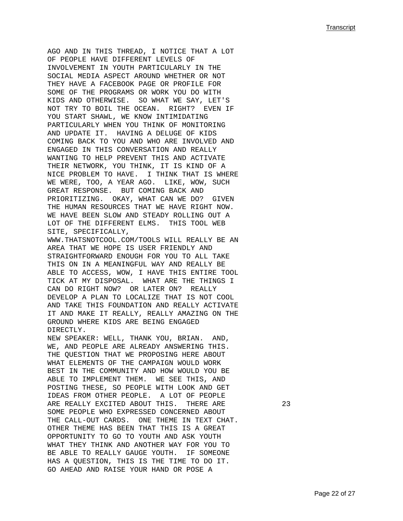AGO AND IN THIS THREAD, I NOTICE THAT A LOT OF PEOPLE HAVE DIFFERENT LEVELS OF INVOLVEMENT IN YOUTH PARTICULARLY IN THE SOCIAL MEDIA ASPECT AROUND WHETHER OR NOT THEY HAVE A FACEBOOK PAGE OR PROFILE FOR SOME OF THE PROGRAMS OR WORK YOU DO WITH KIDS AND OTHERWISE. SO WHAT WE SAY, LET'S NOT TRY TO BOIL THE OCEAN. RIGHT? EVEN IF YOU START SHAWL, WE KNOW INTIMIDATING PARTICULARLY WHEN YOU THINK OF MONITORING AND UPDATE IT. HAVING A DELUGE OF KIDS COMING BACK TO YOU AND WHO ARE INVOLVED AND ENGAGED IN THIS CONVERSATION AND REALLY WANTING TO HELP PREVENT THIS AND ACTIVATE THEIR NETWORK, YOU THINK, IT IS KIND OF A NICE PROBLEM TO HAVE. I THINK THAT IS WHERE WE WERE, TOO, A YEAR AGO. LIKE, WOW, SUCH GREAT RESPONSE. BUT COMING BACK AND PRIORITIZING. OKAY, WHAT CAN WE DO? GIVEN THE HUMAN RESOURCES THAT WE HAVE RIGHT NOW. WE HAVE BEEN SLOW AND STEADY ROLLING OUT A LOT OF THE DIFFERENT ELMS. THIS TOOL WEB SITE, SPECIFICALLY, WWW.THATSNOTCOOL.COM/TOOLS WILL REALLY BE AN AREA THAT WE HOPE IS USER FRIENDLY AND STRAIGHTFORWARD ENOUGH FOR YOU TO ALL TAKE THIS ON IN A MEANINGFUL WAY AND REALLY BE ABLE TO ACCESS, WOW, I HAVE THIS ENTIRE TOOL TICK AT MY DISPOSAL. WHAT ARE THE THINGS I CAN DO RIGHT NOW? OR LATER ON? REALLY DEVELOP A PLAN TO LOCALIZE THAT IS NOT COOL AND TAKE THIS FOUNDATION AND REALLY ACTIVATE IT AND MAKE IT REALLY, REALLY AMAZING ON THE GROUND WHERE KIDS ARE BEING ENGAGED DIRECTLY. NEW SPEAKER: WELL, THANK YOU, BRIAN. AND, WE, AND PEOPLE ARE ALREADY ANSWERING THIS. THE QUESTION THAT WE PROPOSING HERE ABOUT WHAT ELEMENTS OF THE CAMPAIGN WOULD WORK BEST IN THE COMMUNITY AND HOW WOULD YOU BE ABLE TO IMPLEMENT THEM. WE SEE THIS, AND POSTING THESE, SO PEOPLE WITH LOOK AND GET IDEAS FROM OTHER PEOPLE. A LOT OF PEOPLE ARE REALLY EXCITED ABOUT THIS. THERE ARE 23 SOME PEOPLE WHO EXPRESSED CONCERNED ABOUT THE CALL-OUT CARDS. ONE THEME IN TEXT CHAT. OTHER THEME HAS BEEN THAT THIS IS A GREAT OPPORTUNITY TO GO TO YOUTH AND ASK YOUTH WHAT THEY THINK AND ANOTHER WAY FOR YOU TO BE ABLE TO REALLY GAUGE YOUTH. IF SOMEONE HAS A QUESTION, THIS IS THE TIME TO DO IT. GO AHEAD AND RAISE YOUR HAND OR POSE A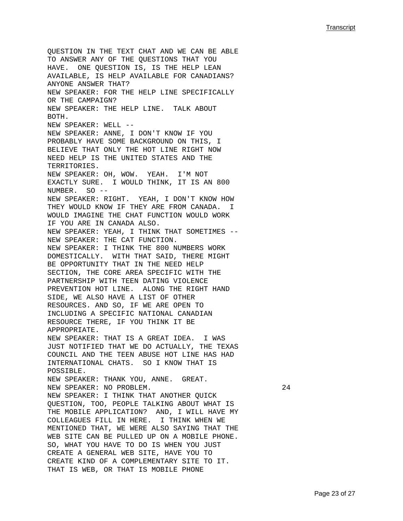QUESTION IN THE TEXT CHAT AND WE CAN BE ABLE TO ANSWER ANY OF THE QUESTIONS THAT YOU HAVE. ONE QUESTION IS, IS THE HELP LEAN AVAILABLE, IS HELP AVAILABLE FOR CANADIANS? ANYONE ANSWER THAT? NEW SPEAKER: FOR THE HELP LINE SPECIFICALLY OR THE CAMPAIGN? NEW SPEAKER: THE HELP LINE. TALK ABOUT BOTH. NEW SPEAKER: WELL -- NEW SPEAKER: ANNE, I DON'T KNOW IF YOU PROBABLY HAVE SOME BACKGROUND ON THIS, I BELIEVE THAT ONLY THE HOT LINE RIGHT NOW NEED HELP IS THE UNITED STATES AND THE TERRITORIES. NEW SPEAKER: OH, WOW. YEAH. I'M NOT EXACTLY SURE. I WOULD THINK, IT IS AN 800 NUMBER. SO -- NEW SPEAKER: RIGHT. YEAH, I DON'T KNOW HOW THEY WOULD KNOW IF THEY ARE FROM CANADA. I WOULD IMAGINE THE CHAT FUNCTION WOULD WORK IF YOU ARE IN CANADA ALSO. NEW SPEAKER: YEAH, I THINK THAT SOMETIMES -- NEW SPEAKER: THE CAT FUNCTION. NEW SPEAKER: I THINK THE 800 NUMBERS WORK DOMESTICALLY. WITH THAT SAID, THERE MIGHT BE OPPORTUNITY THAT IN THE NEED HELP SECTION, THE CORE AREA SPECIFIC WITH THE PARTNERSHIP WITH TEEN DATING VIOLENCE PREVENTION HOT LINE. ALONG THE RIGHT HAND SIDE, WE ALSO HAVE A LIST OF OTHER RESOURCES. AND SO, IF WE ARE OPEN TO INCLUDING A SPECIFIC NATIONAL CANADIAN RESOURCE THERE, IF YOU THINK IT BE APPROPRIATE. NEW SPEAKER: THAT IS A GREAT IDEA. I WAS JUST NOTIFIED THAT WE DO ACTUALLY, THE TEXAS COUNCIL AND THE TEEN ABUSE HOT LINE HAS HAD INTERNATIONAL CHATS. SO I KNOW THAT IS POSSIBLE. NEW SPEAKER: THANK YOU, ANNE. GREAT. NEW SPEAKER: NO PROBLEM. 24 NEW SPEAKER: I THINK THAT ANOTHER QUICK QUESTION, TOO, PEOPLE TALKING ABOUT WHAT IS THE MOBILE APPLICATION? AND, I WILL HAVE MY COLLEAGUES FILL IN HERE. I THINK WHEN WE MENTIONED THAT, WE WERE ALSO SAYING THAT THE WEB SITE CAN BE PULLED UP ON A MOBILE PHONE. SO, WHAT YOU HAVE TO DO IS WHEN YOU JUST CREATE A GENERAL WEB SITE, HAVE YOU TO CREATE KIND OF A COMPLEMENTARY SITE TO IT. THAT IS WEB, OR THAT IS MOBILE PHONE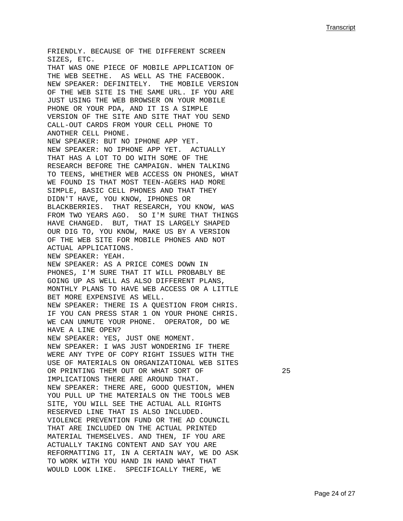FRIENDLY. BECAUSE OF THE DIFFERENT SCREEN SIZES, ETC. THAT WAS ONE PIECE OF MOBILE APPLICATION OF THE WEB SEETHE. AS WELL AS THE FACEBOOK. NEW SPEAKER: DEFINITELY. THE MOBILE VERSION OF THE WEB SITE IS THE SAME URL. IF YOU ARE JUST USING THE WEB BROWSER ON YOUR MOBILE PHONE OR YOUR PDA, AND IT IS A SIMPLE VERSION OF THE SITE AND SITE THAT YOU SEND CALL-OUT CARDS FROM YOUR CELL PHONE TO ANOTHER CELL PHONE. NEW SPEAKER: BUT NO IPHONE APP YET. NEW SPEAKER: NO IPHONE APP YET. ACTUALLY THAT HAS A LOT TO DO WITH SOME OF THE RESEARCH BEFORE THE CAMPAIGN. WHEN TALKING TO TEENS, WHETHER WEB ACCESS ON PHONES, WHAT WE FOUND IS THAT MOST TEEN-AGERS HAD MORE SIMPLE, BASIC CELL PHONES AND THAT THEY DIDN'T HAVE, YOU KNOW, IPHONES OR BLACKBERRIES. THAT RESEARCH, YOU KNOW, WAS FROM TWO YEARS AGO. SO I'M SURE THAT THINGS HAVE CHANGED. BUT, THAT IS LARGELY SHAPED OUR DIG TO, YOU KNOW, MAKE US BY A VERSION OF THE WEB SITE FOR MOBILE PHONES AND NOT ACTUAL APPLICATIONS. NEW SPEAKER: YEAH. NEW SPEAKER: AS A PRICE COMES DOWN IN PHONES, I'M SURE THAT IT WILL PROBABLY BE GOING UP AS WELL AS ALSO DIFFERENT PLANS, MONTHLY PLANS TO HAVE WEB ACCESS OR A LITTLE BET MORE EXPENSIVE AS WELL. NEW SPEAKER: THERE IS A QUESTION FROM CHRIS. IF YOU CAN PRESS STAR 1 ON YOUR PHONE CHRIS. WE CAN UNMUTE YOUR PHONE. OPERATOR, DO WE HAVE A LINE OPEN? NEW SPEAKER: YES, JUST ONE MOMENT. NEW SPEAKER: I WAS JUST WONDERING IF THERE WERE ANY TYPE OF COPY RIGHT ISSUES WITH THE USE OF MATERIALS ON ORGANIZATIONAL WEB SITES OR PRINTING THEM OUT OR WHAT SORT OF 25 IMPLICATIONS THERE ARE AROUND THAT. NEW SPEAKER: THERE ARE, GOOD QUESTION, WHEN YOU PULL UP THE MATERIALS ON THE TOOLS WEB SITE, YOU WILL SEE THE ACTUAL ALL RIGHTS RESERVED LINE THAT IS ALSO INCLUDED. VIOLENCE PREVENTION FUND OR THE AD COUNCIL THAT ARE INCLUDED ON THE ACTUAL PRINTED MATERIAL THEMSELVES. AND THEN, IF YOU ARE ACTUALLY TAKING CONTENT AND SAY YOU ARE REFORMATTING IT, IN A CERTAIN WAY, WE DO ASK TO WORK WITH YOU HAND IN HAND WHAT THAT WOULD LOOK LIKE. SPECIFICALLY THERE, WE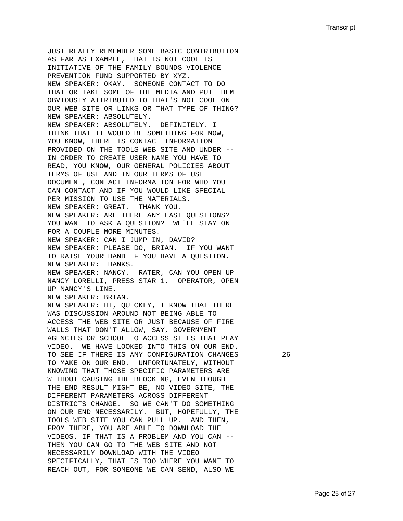JUST REALLY REMEMBER SOME BASIC CONTRIBUTION AS FAR AS EXAMPLE, THAT IS NOT COOL IS INITIATIVE OF THE FAMILY BOUNDS VIOLENCE PREVENTION FUND SUPPORTED BY XYZ. NEW SPEAKER: OKAY. SOMEONE CONTACT TO DO THAT OR TAKE SOME OF THE MEDIA AND PUT THEM OBVIOUSLY ATTRIBUTED TO THAT'S NOT COOL ON OUR WEB SITE OR LINKS OR THAT TYPE OF THING? NEW SPEAKER: ABSOLUTELY. NEW SPEAKER: ABSOLUTELY. DEFINITELY. I THINK THAT IT WOULD BE SOMETHING FOR NOW, YOU KNOW, THERE IS CONTACT INFORMATION PROVIDED ON THE TOOLS WEB SITE AND UNDER -- IN ORDER TO CREATE USER NAME YOU HAVE TO READ, YOU KNOW, OUR GENERAL POLICIES ABOUT TERMS OF USE AND IN OUR TERMS OF USE DOCUMENT, CONTACT INFORMATION FOR WHO YOU CAN CONTACT AND IF YOU WOULD LIKE SPECIAL PER MISSION TO USE THE MATERIALS. NEW SPEAKER: GREAT. THANK YOU. NEW SPEAKER: ARE THERE ANY LAST QUESTIONS? YOU WANT TO ASK A QUESTION? WE'LL STAY ON FOR A COUPLE MORE MINUTES. NEW SPEAKER: CAN I JUMP IN, DAVID? NEW SPEAKER: PLEASE DO, BRIAN. IF YOU WANT TO RAISE YOUR HAND IF YOU HAVE A QUESTION. NEW SPEAKER: THANKS. NEW SPEAKER: NANCY. RATER, CAN YOU OPEN UP NANCY LORELLI, PRESS STAR 1. OPERATOR, OPEN UP NANCY'S LINE. NEW SPEAKER: BRIAN. NEW SPEAKER: HI, QUICKLY, I KNOW THAT THERE WAS DISCUSSION AROUND NOT BEING ABLE TO ACCESS THE WEB SITE OR JUST BECAUSE OF FIRE WALLS THAT DON'T ALLOW, SAY, GOVERNMENT AGENCIES OR SCHOOL TO ACCESS SITES THAT PLAY VIDEO. WE HAVE LOOKED INTO THIS ON OUR END. TO SEE IF THERE IS ANY CONFIGURATION CHANGES 26 TO MAKE ON OUR END. UNFORTUNATELY, WITHOUT KNOWING THAT THOSE SPECIFIC PARAMETERS ARE WITHOUT CAUSING THE BLOCKING, EVEN THOUGH THE END RESULT MIGHT BE, NO VIDEO SITE, THE DIFFERENT PARAMETERS ACROSS DIFFERENT DISTRICTS CHANGE. SO WE CAN'T DO SOMETHING ON OUR END NECESSARILY. BUT, HOPEFULLY, THE TOOLS WEB SITE YOU CAN PULL UP. AND THEN, FROM THERE, YOU ARE ABLE TO DOWNLOAD THE VIDEOS. IF THAT IS A PROBLEM AND YOU CAN -- THEN YOU CAN GO TO THE WEB SITE AND NOT NECESSARILY DOWNLOAD WITH THE VIDEO SPECIFICALLY, THAT IS TOO WHERE YOU WANT TO REACH OUT, FOR SOMEONE WE CAN SEND, ALSO WE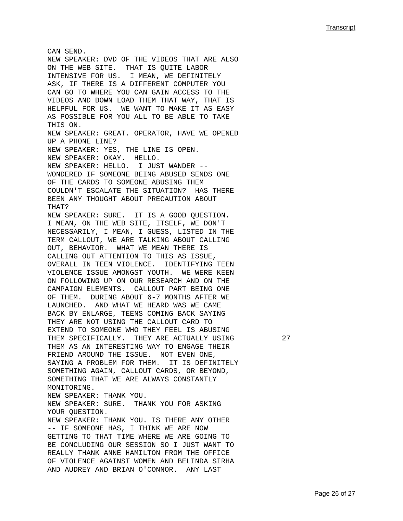CAN SEND. NEW SPEAKER: DVD OF THE VIDEOS THAT ARE ALSO ON THE WEB SITE. THAT IS QUITE LABOR INTENSIVE FOR US. I MEAN, WE DEFINITELY ASK, IF THERE IS A DIFFERENT COMPUTER YOU CAN GO TO WHERE YOU CAN GAIN ACCESS TO THE VIDEOS AND DOWN LOAD THEM THAT WAY, THAT IS HELPFUL FOR US. WE WANT TO MAKE IT AS EASY AS POSSIBLE FOR YOU ALL TO BE ABLE TO TAKE THIS ON. NEW SPEAKER: GREAT. OPERATOR, HAVE WE OPENED UP A PHONE LINE? NEW SPEAKER: YES, THE LINE IS OPEN. NEW SPEAKER: OKAY. HELLO. NEW SPEAKER: HELLO. I JUST WANDER -- WONDERED IF SOMEONE BEING ABUSED SENDS ONE OF THE CARDS TO SOMEONE ABUSING THEM COULDN'T ESCALATE THE SITUATION? HAS THERE BEEN ANY THOUGHT ABOUT PRECAUTION ABOUT THAT? NEW SPEAKER: SURE. IT IS A GOOD QUESTION. I MEAN, ON THE WEB SITE, ITSELF, WE DON'T NECESSARILY, I MEAN, I GUESS, LISTED IN THE TERM CALLOUT, WE ARE TALKING ABOUT CALLING OUT, BEHAVIOR. WHAT WE MEAN THERE IS CALLING OUT ATTENTION TO THIS AS ISSUE, OVERALL IN TEEN VIOLENCE. IDENTIFYING TEEN VIOLENCE ISSUE AMONGST YOUTH. WE WERE KEEN ON FOLLOWING UP ON OUR RESEARCH AND ON THE CAMPAIGN ELEMENTS. CALLOUT PART BEING ONE OF THEM. DURING ABOUT 6-7 MONTHS AFTER WE LAUNCHED. AND WHAT WE HEARD WAS WE CAME BACK BY ENLARGE, TEENS COMING BACK SAYING THEY ARE NOT USING THE CALLOUT CARD TO EXTEND TO SOMEONE WHO THEY FEEL IS ABUSING THEM SPECIFICALLY. THEY ARE ACTUALLY USING 27 THEM AS AN INTERESTING WAY TO ENGAGE THEIR FRIEND AROUND THE ISSUE. NOT EVEN ONE, SAYING A PROBLEM FOR THEM. IT IS DEFINITELY SOMETHING AGAIN, CALLOUT CARDS, OR BEYOND, SOMETHING THAT WE ARE ALWAYS CONSTANTLY MONITORING. NEW SPEAKER: THANK YOU. NEW SPEAKER: SURE. THANK YOU FOR ASKING YOUR QUESTION. NEW SPEAKER: THANK YOU. IS THERE ANY OTHER -- IF SOMEONE HAS, I THINK WE ARE NOW GETTING TO THAT TIME WHERE WE ARE GOING TO BE CONCLUDING OUR SESSION SO I JUST WANT TO REALLY THANK ANNE HAMILTON FROM THE OFFICE OF VIOLENCE AGAINST WOMEN AND BELINDA SIRHA AND AUDREY AND BRIAN O'CONNOR. ANY LAST